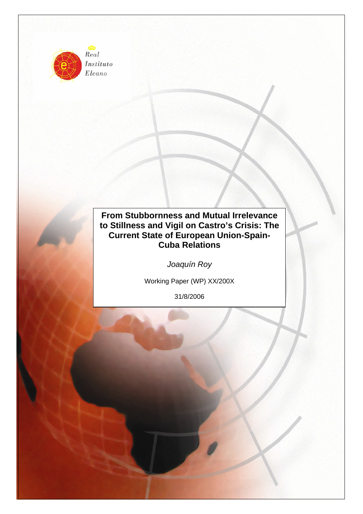

Instituto Elcano

# **From Stubbornness and Mutual Irrelevance to Stillness and Vigil on Castro's Crisis: The Current State of European Union-Spain-Cuba Relations**

*Joaquín Roy* 

Working Paper (WP) XX/200X

31/8/2006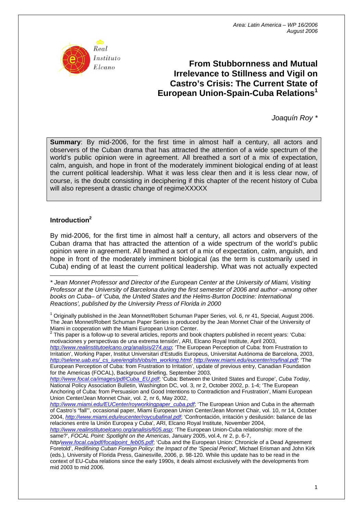

# **From Stubbornness and Mutual Irrelevance to Stillness and Vigil on Castro's Crisis: The Current State of European Union-Spain-Cuba Relations1**

*Joaquín Roy \** 

**Summary**: By mid-2006, for the first time in almost half a century, all actors and observers of the Cuban drama that has attracted the attention of a wide spectrum of the world's public opinion were in agreement. All breathed a sort of a mix of expectation, calm, anguish, and hope in front of the moderately imminent biological ending of at least the current political leadership. What it was less clear then and it is less clear now, of course, is the doubt consisting in deciphering if this chapter of the recent history of Cuba will also represent a drastic change of regimeXXXXX

# **Introduction[2](#page-1-0)**

By mid-2006, for the first time in almost half a century, all actors and observers of the Cuban drama that has attracted the attention of a wide spectrum of the world's public opinion were in agreement. All breathed a sort of a mix of expectation, calm, anguish, and hope in front of the moderately imminent biological (as the term is customarily used in Cuba) ending of at least the current political leadership. What was not actually expected

 $\overline{a}$ *\* Jean Monnet Professor and Director of the European Center at the University of Miami, Visiting Professor at the University of Barcelona during the first semester of 2006 and author –among other*  books on Cuba– of 'Cuba, the United States and the Helms-Burton Doctrine: International *Reactions', published by the University Press of Florida in 2000* 

<sup>1</sup> Originally published in the Jean Monnet/Robert Schuman Paper Series, vol. 6, nr 41, Special, August 2006. The Jean Monnet/Robert Schuman Paper Series is produced by the Jean Monnet Chair of the University of Miami in cooperation with the Miami European Union Center.

<span id="page-1-0"></span> $2$  This paper is a follow-up to several articles, reports and book chapters published in recent years: 'Cuba: motivaciones y perspectivas de una extrema tensión', ARI, Elcano Royal Institute, April 2003,

*<http://www.realinstitutoelcano.org/analisis/274.asp>*; 'The European Perception of Cuba: from Frustration to Irritation', Working Paper, Institut Universitari d'Estudis Europeus, Universitat Autónoma de Barcelona, 2003, *[http://selene.uab.es/\\_cs\\_iuee/english/obs/m\\_working.html](http://selene.uab.es/_cs_iuee/english/obs/m_working.html)*; *<http://www.miami.edu/eucenter/royfinal.pdf>*; 'The European Perception of Cuba: from Frustration to Irritation', update of previous entry, Canadian Foundation for the Americas (FOCAL), Background Briefing, September 2003,

*[http://www.focal.ca/images/pdf/Cuba\\_EU.pdf](http://www.focal.ca/images/pdf/Cuba_EU.pdf)*; 'Cuba: Between the United States and Europe', *Cuba Today*, National Policy Association Bulletin, Washington DC, vol. 3, nr 2, October 2002, p. 1-4; 'The European Anchoring of Cuba: from Persuasion and Good Intentions to Contradiction and Frustration', Miami European Union Center/Jean Monnet Chair, vol. 2, nr 6, May 2002,

*[http://www.miami.edu/EUCenter/royworkingpaper\\_cuba.pdf](http://www.miami.edu/EUCenter/royworkingpaper_cuba.pdf)*; 'The European Union and Cuba in the aftermath of Castro's "fall"', occasional paper, Miami European Union Center/Jean Monnet Chair, vol. 10, nr 14, October 2004, *<http://www.miami.edu/eucenter/roycubafinal.pdf>*; 'Confrontación, irritación y desilusión: balance de las relaciones entre la Unión Europea y Cuba', ARI, Elcano Royal Institute, November 2004,

*<http://www.realinstitutoelcano.org/analisis/605.asp>*; 'The European Union-Cuba relationship: more of the same?', *FOCAL Point: Spotlight on the Americas*, January 2005, vol.4, nr 2, p. 6-7,

*http/[www.focal.ca/pdf/focalpoint\\_feb05.pdf](http://www.focal.ca/pdf/focalpoint_feb05.pdf)*; 'Cuba and the European Union: Chronicle of a Dead Agreement Foretold', *Redifining Cuban Foreign Policy: the Impact of the 'Special Period'*, Michael Erisman and John Kirk (eds.), University of Florida Press, Gainesville, 2006, p. 98-120. While this update has to be read in the context of EU-Cuba relations since the early 1990s, it deals almost exclusively with the developments from mid 2003 to mid 2006.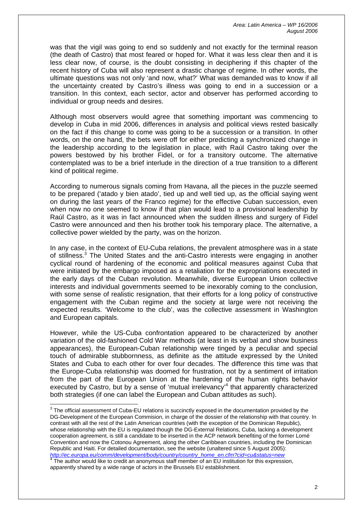was that the vigil was going to end so suddenly and not exactly for the terminal reason (the death of Castro) that most feared or hoped for. What it was less clear then and it is less clear now, of course, is the doubt consisting in deciphering if this chapter of the recent history of Cuba will also represent a drastic change of regime. In other words, the ultimate questions was not only 'and now, what?' What was demanded was to know if all the uncertainty created by Castro's illness was going to end in a succession or a transition. In this context, each sector, actor and observer has performed according to individual or group needs and desires.

Although most observers would agree that something important was commencing to develop in Cuba in mid 2006, differences in analysis and political views rested basically on the fact if this change to come was going to be a succession or a transition. In other words, on the one hand, the bets were off for either predicting a synchronized change in the leadership according to the legislation in place, with Raúl Castro taking over the powers bestowed by his brother Fidel, or for a transitory outcome. The alternative contemplated was to be a brief interlude in the direction of a true transition to a different kind of political regime.

According to numerous signals coming from Havana, all the pieces in the puzzle seemed to be prepared ('atado y bien atado', tied up and well tied up, as the official saying went on during the last years of the Franco regime) for the effective Cuban succession, even when now no one seemed to know if that plan would lead to a provisional leadership by Raúl Castro, as it was in fact announced when the sudden illness and surgery of Fidel Castro were announced and then his brother took his temporary place. The alternative, a collective power wielded by the party, was on the horizon.

In any case, in the context of EU-Cuba relations, the prevalent atmosphere was in a state of stillness[.3](#page-2-0) The United States and the anti-Castro interests were engaging in another cyclical round of hardening of the economic and political measures against Cuba that were initiated by the embargo imposed as a retaliation for the expropriations executed in the early days of the Cuban revolution. Meanwhile, diverse European Union collective interests and individual governments seemed to be inexorably coming to the conclusion, with some sense of realistic resignation, that their efforts for a long policy of constructive engagement with the Cuban regime and the society at large were not receiving the expected results. 'Welcome to the club', was the collective assessment in Washington and European capitals.

However, while the US-Cuba confrontation appeared to be characterized by another variation of the old-fashioned Cold War methods (at least in its verbal and show business appearances), the European-Cuban relationship were tinged by a peculiar and special touch of admirable stubbornness, as definite as the attitude expressed by the United States and Cuba to each other for over four decades. The difference this time was that the Europe-Cuba relationship was doomed for frustration, not by a sentiment of irritation from the part of the European Union at the hardening of the human rights behavior executed by Castro, but by a sense of 'mutual irrelevancy'<sup>[4](#page-2-1)</sup> that apparently characterized both strategies (if one can label the European and Cuban attitudes as such).

<span id="page-2-0"></span> $3$  The official assessment of Cuba-EU relations is succinctly exposed in the documentation provided by the DG-Development of the European Commision, in charge of the dossier of the relationship with that country. In contrast with all the rest of the Latin American countries (with the exception of the Dominican Republic), whose relationship with the EU is regulated though the DG-External Relations, Cuba, lacking a development cooperation agreement, is still a candidate to be inserted in the ACP network benefiting of the former Lomé Convention and now the Cotonou Agreement, along the other Caribbean countries, including the Dominican Republic and Haiti. For detailed documentation, see the website (unaltered since 5 August 2005): *[http://ec.europa.eu/comm/development/body/country/country\\_home\\_en.cfm?cid=cu&status=new](http://ec.europa.eu/comm/development/body/country/country_home_en.cfm?cid=cu&status=new)*

<span id="page-2-1"></span>The author would like to credit an anonymous staff member of an EU institution for this expression, apparently shared by a wide range of actors in the Brussels EU establishment.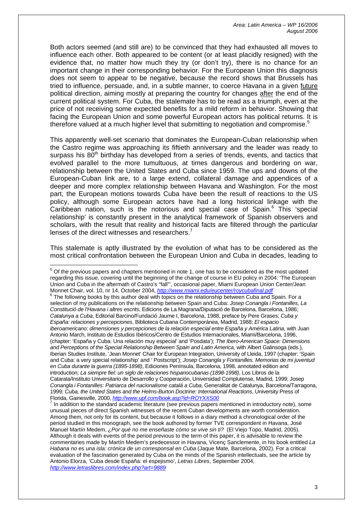Both actors seemed (and still are) to be convinced that they had exhausted all moves to influence each other. Both appeared to be content (or at least placidly resigned) with the evidence that, no matter how much they try (or don't try), there is no chance for an important change in their corresponding behavior. For the European Union this diagnosis does not seem to appear to be negative, because the record shows that Brussels has tried to influence, persuade, and, in a subtle manner, to coerce Havana in a given future political direction, aiming mostly at preparing the country for changes after the end of the current political system. For Cuba, the stalemate has to be read as a triumph, even at the price of not receiving some expected benefits for a mild reform in behavior. Showing that facing the European Union and some powerful European actors has political returns. It is therefore valued at a much higher level that submitting to negotiation and compromise.<sup>5</sup>

This apparently well-set scenario that dominates the European-Cuban relationship when the Castro regime was approaching its fiftieth anniversary and the leader was ready to surpass his  $80<sup>th</sup>$  birthday has developed from a series of trends, events, and tactics that evolved parallel to the more tumultuous, at times dangerous and bordering on war, relationship between the United States and Cuba since 1959. The ups and downs of the European-Cuban link are, to a large extend, collateral damage and appendices of a deeper and more complex relationship between Havana and Washington. For the most part, the European motions towards Cuba have been the result of reactions to the US policy, although some European actors have had a long historical linkage with the Caribbean nation, such is the notorious and special case of Spain.<sup>[6](#page-3-1)</sup> This 'special relationship' is constantly present in the analytical framework of Spanish observers and scholars, with the result that reality and historical facts are filtered through the particular lenses of the direct witnesses and researchers.<sup>7</sup>

This stalemate is aptly illustrated by the evolution of what has to be considered as the most critical confrontation between the European Union and Cuba in decades, leading to

<span id="page-3-0"></span><u>5</u><br><sup>5</sup> Of the previous papers and chapters mentioned in note 1, one has to be considered as the most updated regarding this issue, covering until the beginning of the change of course in EU policy in 2004: 'The European Union and Cuba in the aftermath of Castro's "fall"', occasional paper, Miami European Union Center/Jean Monnet Chair, vol. 10, nr 14, October 2004, *<http://www.miami.edu/eucenter/roycubafinal.pdf>* 6 The following books by this author deal with topics on the relationship between Cuba and Spain. For a

<span id="page-3-1"></span>selection of my publications on the relationship between Spain and Cuba: *Josep Conangla i Fontanilles, La Constitució de l'Havana i altres escrits*, Edicions de La Magrana/Diputació de Barcelona, Barcelona, 1986; *Catalunya a Cuba*, Editorial Barcino/Fundació Jaume I, Barcelona, 1988, preface by Pere Grases; *Cuba y España: relaciones y percepciones*, Biblioteca Cubana Contemporánea, Madrid, 1988; *El espacio iberoamericano: dimensiones y percepciones de la relación especial entre España y América Latina*, with Juan Antonio March, Instituto de Estudios Ibéricos/Centro de Estudios Internacionales, Miami/Barcelona, 1996, (chapter: 'España y Cuba: Una relación muy especial' and 'Posdata'); *The Ibero-American Space: Dimensions and Perceptions of the Special Relationship Between Spain and Latin America*, with Albert Galinsoga (eds.), Iberian Studies Institute, 'Jean Monnet' Chair for European Integration, University of Lleida, 1997 (chapter: 'Spain and Cuba: a very special relationship' and *'* Postscript'); *Josep Conangla y Fontanilles. Memorias de mi juventud en Cuba durante la guerra (1895-1898)*, Ediciones Península, Barcelona, 1998, annotated edition and introduction; *La siempre fiel: un siglo de relaciones hispanocubanas (1898-1998)*, Los Libros de la Catarata/Instituto Universitario de Desarrollo y Cooperación, Universidad Complutense, Madrid, 1999; Josep *Conangla i Fontanilles: Patriarca del nacionalisme catalá a Cuba*, Generalitat de Catalunya, Barcelona/Tarragona, 1999*; Cuba, the United States and the Helms-Burton Doctrine: International Reactions*, University Press of Florida, Gainesville, 2000, *http://www.upf.com/book.asp?id=ROYXXS00* 7

<span id="page-3-2"></span> In addition to the standard academic literature (see previous papers mentioned in introductory note), some unusual pieces of direct Spanish witnesses of the recent Cuban developments are worth consideration. Among them, not only for its content, but because it follows in a diary method a chronological order of the period studied in this monograph, see the book authored by former TVE correspondent in Havana, José Manuel Martín Medem, *¿Por qué no me enseñaste cómo se vive sin ti?* (El Viejo Topo, Madrid, 2005). Although it deals with events of the period previous to the term of this paper, it is advisable to review the commentaries made by Martín Medem's predecessor in Havana, Vicenç Sanclemente, in his book entitled *La Habana no es una isla: crónica de un corresponsal en Cuba* (Jaque Mate, Barcelona, 2002). For a critical evaluation of the fascination generated by Cuba on the minds of the Spanish intellectuals, see the article by Antonio Elorza, 'Cuba desde España: el espejismo', *Letras Libres*, September 2004, *<http://www.letraslibres.com/index.php?art=9889>*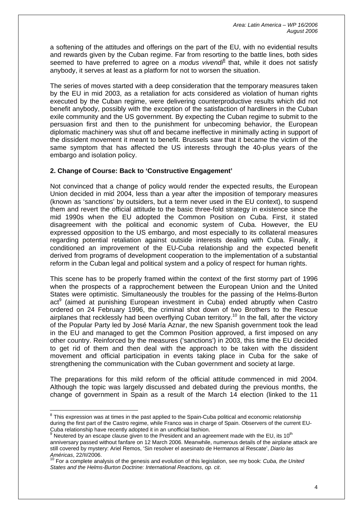a softening of the attitudes and offerings on the part of the EU, with no evidential results and rewards given by the Cuban regime. Far from resorting to the battle lines, both sides seemed to have preferred to agree on a *modus vivendi*<sup>[8](#page-4-0)</sup> that, while it does not satisfy anybody, it serves at least as a platform for not to worsen the situation.

The series of moves started with a deep consideration that the temporary measures taken by the EU in mid 2003, as a retaliation for acts considered as violation of human rights executed by the Cuban regime, were delivering counterproductive results which did not benefit anybody, possibly with the exception of the satisfaction of hardliners in the Cuban exile community and the US government. By expecting the Cuban regime to submit to the persuasion first and then to the punishment for unbecoming behavior, the European diplomatic machinery was shut off and became ineffective in minimally acting in support of the dissident movement it meant to benefit. Brussels saw that it became the victim of the same symptom that has affected the US interests through the 40-plus years of the embargo and isolation policy.

# **2. Change of Course: Back to 'Constructive Engagement'**

Not convinced that a change of policy would render the expected results, the European Union decided in mid 2004, less than a year after the imposition of temporary measures (known as 'sanctions' by outsiders, but a term never used in the EU context), to suspend them and revert the official attitude to the basic three-fold strategy in existence since the mid 1990s when the EU adopted the Common Position on Cuba. First, it stated disagreement with the political and economic system of Cuba. However, the EU expressed opposition to the US embargo, and most especially to its collateral measures regarding potential retaliation against outside interests dealing with Cuba. Finally, it conditioned an improvement of the EU-Cuba relationship and the expected benefit derived from programs of development cooperation to the implementation of a substantial reform in the Cuban legal and political system and a policy of respect for human rights.

This scene has to be properly framed within the context of the first stormy part of 1996 when the prospects of a rapprochement between the European Union and the United States were optimistic. Simultaneously the troubles for the passing of the Helms-Burton act<sup>[9](#page-4-1)</sup> (aimed at punishing European investment in Cuba) ended abruptly when Castro ordered on 24 February 1996, the criminal shot down of two Brothers to the Rescue airplanes that recklessly had been overflying Cuban territory.<sup>10</sup> In the fall, after the victory of the Popular Party led by José María Aznar, the new Spanish government took the lead in the EU and managed to get the Common Position approved, a first imposed on any other country. Reinforced by the measures ('sanctions') in 2003, this time the EU decided to get rid of them and then deal with the approach to be taken with the dissident movement and official participation in events taking place in Cuba for the sake of strengthening the communication with the Cuban government and society at large.

The preparations for this mild reform of the official attitude commenced in mid 2004. Although the topic was largely discussed and debated during the previous months, the change of government in Spain as a result of the March 14 election (linked to the 11

<span id="page-4-0"></span> $\overline{\phantom{a}}$  $8$  This expression was at times in the past applied to the Spain-Cuba political and economic relationship during the first part of the Castro regime, while Franco was in charge of Spain. Observers of the current EU-Cuba relationship have recently adopted it in an unofficial fashion.

<span id="page-4-1"></span>Neutered by an escape clause given to the President and an agreement made with the EU, its 10<sup>th</sup> anniversary passed without fanfare on 12 March 2006. Meanwhile, numerous details of the airplane attack are still covered by mystery: Ariel Remos, 'Sin resolver el asesinato de Hermanos al Rescate', *Diario las Américas*, 22/II/2006.

<span id="page-4-2"></span><sup>10</sup> For a complete analysis of the genesis and evolution of this legislation, see my book: *Cuba, the United States and the Helms-Burton Doctrine: International Reactions*, *op. cit*.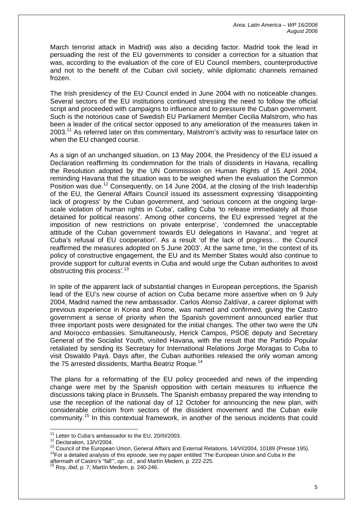March terrorist attack in Madrid) was also a deciding factor. Madrid took the lead in persuading the rest of the EU governments to consider a correction for a situation that was, according to the evaluation of the core of EU Council members, counterproductive and not to the benefit of the Cuban civil society, while diplomatic channels remained frozen.

The Irish presidency of the EU Council ended in June 2004 with no noticeable changes. Several sectors of the EU institutions continued stressing the need to follow the official script and proceeded with campaigns to influence and to pressure the Cuban government. Such is the notorious case of Swedish EU Parliament Member Cecilia Malstrom, who has been a leader of the critical sector opposed to any amelioration of the measures taken in 2003.<sup>11</sup> As referred later on this commentary, Malstrom's activity was to resurface later on when the EU changed course.

As a sign of an unchanged situation, on 13 May 2004, the Presidency of the EU issued a Declaration reaffirming its condemnation for the trials of dissidents in Havana, recalling the Resolution adopted by the UN Commission on Human Rights of 15 April 2004, reminding Havana that the situation was to be weighed when the evaluation the Common Position was due.<sup>12</sup> Consequently, on 14 June 2004, at the closing of the Irish leadership of the EU, the General Affairs Council issued its assessment expressing 'disappointing lack of progress' by the Cuban government, and 'serious concern at the ongoing largescale violation of human rights in Cuba', calling Cuba 'to release immediately all those detained for political reasons'. Among other concerns, the EU expressed 'regret at the imposition of new restrictions on private enterprise', 'condemned the unacceptable attitude of the Cuban government towards EU delegations in Havana', and 'regret at Cuba's refusal of EU cooperation'. As a result 'of the lack of progress… the Council reaffirmed the measures adopted on 5 June 2003'. At the same time, 'in the context of its policy of constructive engagement, the EU and its Member States would also continue to provide support for cultural events in Cuba and would urge the Cuban authorities to avoid obstructing this process'[.13](#page-5-2)

In spite of the apparent lack of substantial changes in European perceptions, the Spanish lead of the EU's new course of action on Cuba became more assertive when on 9 July 2004, Madrid named the new ambassador. Carlos Alonso Zaldívar, a career diplomat with previous experience in Korea and Rome, was named and confirmed, giving the Castro government a sense of priority when the Spanish government announced earlier that three important posts were designated for the initial changes. The other two were the UN and Morocco embassies. Simultaneously, Herick Campos, PSOE deputy and Secretary General of the Socialist Youth, visited Havana, with the result that the Partido Popular retaliated by sending its Secretary for International Relations Jorge Moragas to Cuba to visit Oswaldo Payá. Days after, the Cuban authorities released the only woman among the 75 arrested dissidents, Martha Beatriz Roque.<sup>[14](#page-5-3)</sup>

The plans for a reformatting of the EU policy proceeded and news of the impending change were met by the Spanish opposition with certain measures to influence the discussions taking place in Brussels. The Spanish embassy prepared the way intending to use the reception of the national day of 12 October for announcing the new plan, with considerable criticism from sectors of the dissident movement and the Cuban exile community.[15](#page-5-4) In this contextual framework, in another of the serious incidents that could

<span id="page-5-0"></span><sup>&</sup>lt;sup>11</sup> Letter to Cuba's ambassador to the EU, 20/III/2003.

<span id="page-5-2"></span><span id="page-5-1"></span>

<sup>&</sup>lt;sup>12</sup> Declaration, 13/V/2004.<br><sup>13</sup> Council of the European Union, General Affairs and External Relations, 14/VI/2004, 10189 (Presse 195).<br><sup>14</sup> For a detailed analysis of this episode, see my paper entitled 'The European Un aftermath of Castro's "fall"', *op. cit*., and Martín Medem, p. 222-225.

<span id="page-5-3"></span>

<span id="page-5-4"></span><sup>15</sup> Roy, *ibid*, p. 7; Martín Medem, p. 240-246.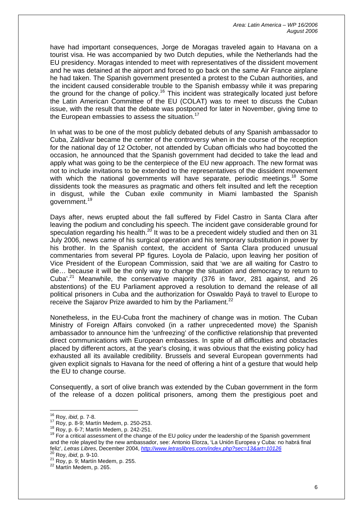have had important consequences, Jorge de Moragas traveled again to Havana on a tourist visa. He was accompanied by two Dutch deputies, while the Netherlands had the EU presidency. Moragas intended to meet with representatives of the dissident movement and he was detained at the airport and forced to go back on the same Air France airplane he had taken. The Spanish government presented a protest to the Cuban authorities, and the incident caused considerable trouble to the Spanish embassy while it was preparing the ground for the change of policy.<sup>16</sup> This incident was strategically located just before the Latin American Committee of the EU (COLAT) was to meet to discuss the Cuban issue, with the result that the debate was postponed for later in November, giving time to the European embassies to assess the situation.<sup>[17](#page-6-1)</sup>

In what was to be one of the most publicly debated debuts of any Spanish ambassador to Cuba, Zaldívar became the center of the controversy when in the course of the reception for the national day of 12 October, not attended by Cuban officials who had boycotted the occasion, he announced that the Spanish government had decided to take the lead and apply what was going to be the centerpiece of the EU new approach. The new format was not to include invitations to be extended to the representatives of the dissident movement with which the national governments will have separate, periodic meetings.<sup>18</sup> Some dissidents took the measures as pragmatic and others felt insulted and left the reception in disgust, while the Cuban exile community in Miami lambasted the Spanish government.<sup>[19](#page-6-3)</sup>

Days after, news erupted about the fall suffered by Fidel Castro in Santa Clara after leaving the podium and concluding his speech. The incident gave considerable ground for speculation regarding his health. $^{20}$  It was to be a precedent widely studied and then on 31 July 2006, news came of his surgical operation and his temporary substitution in power by his brother. In the Spanish context, the accident of Santa Clara produced unusual commentaries from several PP figures. Loyola de Palacio, upon leaving her position of Vice President of the European Commission, said that 'we are all waiting for Castro to die… because it will be the only way to change the situation and democracy to return to Cuba<sup>'.21</sup> Meanwhile, the conservative majority (376 in favor, 281 against, and 26 abstentions) of the EU Parliament approved a resolution to demand the release of all political prisoners in Cuba and the authorization for Oswaldo Payá to travel to Europe to receive the Sajarov Prize awarded to him by the Parliament.<sup>[22](#page-6-6)</sup>

Nonetheless, in the EU-Cuba front the machinery of change was in motion. The Cuban Ministry of Foreign Affairs convoked (in a rather unprecedented move) the Spanish ambassador to announce him the 'unfreezing' of the conflictive relationship that prevented direct communications with European embassies. In spite of all difficulties and obstacles placed by different actors, at the year's closing, it was obvious that the existing policy had exhausted all its available credibility. Brussels and several European governments had given explicit signals to Havana for the need of offering a hint of a gesture that would help the EU to change course.

Consequently, a sort of olive branch was extended by the Cuban government in the form of the release of a dozen political prisoners, among them the prestigious poet and

<span id="page-6-0"></span><sup>&</sup>lt;sup>16</sup> Roy, *ibid*, p. 7-8.

<span id="page-6-1"></span>

<span id="page-6-3"></span><span id="page-6-2"></span>

<sup>&</sup>lt;sup>17</sup> Roy, p. 8-9; Martín Medem, p. 250-253.<br><sup>18</sup> Roy, p. 6-7; Martín Medem, p. 242-251.<br><sup>19</sup> For a critical assessment of the change of the EU policy under the leadership of the Spanish government and the role played by the new ambassador, see: Antonio Elorza, 'La Unión Europea y Cuba: no habrá final feliz', *Letras Libres*, December 2004, *<http://www.letraslibres.com/index.php?sec=13&art=10126>*<sup>20</sup> Roy, *ibid*, p. 9-10.<br><sup>21</sup> Roy, p. 9; Martín Medem, p. 255.

<span id="page-6-5"></span><span id="page-6-4"></span>

<span id="page-6-6"></span><sup>22</sup> Martín Medem, p. 265.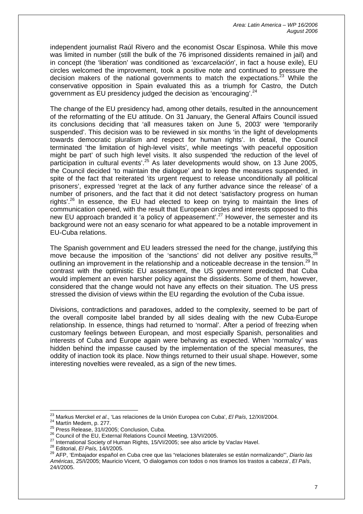independent journalist Raúl Rivero and the economist Oscar Espinosa. While this move was limited in number (still the bulk of the 76 imprisoned dissidents remained in jail) and in concept (the 'liberation' was conditioned as '*excarcelación*', in fact a house exile), EU circles welcomed the improvement, took a positive note and continued to pressure the decision makers of the national governments to match the expectations.<sup>23</sup> While the conservative opposition in Spain evaluated this as a triumph for Castro, the Dutch government as EU presidency judged the decision as 'encouraging'.<sup>[24](#page-7-1)</sup>

The change of the EU presidency had, among other details, resulted in the announcement of the reformatting of the EU attitude. On 31 January, the General Affairs Council issued its conclusions deciding that 'all measures taken on June 5, 2003' were 'temporarily suspended'. This decision was to be reviewed in six months 'in the light of developments towards democratic pluralism and respect for human rights'. In detail, the Council terminated 'the limitation of high-level visits', while meetings 'with peaceful opposition might be part' of such high level visits. It also suspended 'the reduction of the level of participation in cultural events<sup>'.25</sup> As later developments would show, on 13 June 2005, the Council decided 'to maintain the dialogue' and to keep the measures suspended, in spite of the fact that reiterated 'its urgent request to release unconditionally all political prisoners', expressed 'regret at the lack of any further advance since the release' of a number of prisoners, and the fact that it did not detect 'satisfactory progress on human rights'.<sup>26</sup> In essence, the EU had elected to keep on trying to maintain the lines of communication opened, with the result that European circles and interests opposed to this new EU approach branded it 'a policy of appeasement'.<sup>27</sup> However, the semester and its background were not an easy scenario for what appeared to be a notable improvement in EU-Cuba relations.

The Spanish government and EU leaders stressed the need for the change, justifying this move because the imposition of the 'sanctions' did not deliver any positive results.<sup>28</sup> outlining an improvement in the relationship and a noticeable decrease in the tension.<sup>29</sup> In contrast with the optimistic EU assessment, the US government predicted that Cuba would implement an even harsher policy against the dissidents. Some of them, however, considered that the change would not have any effects on their situation. The US press stressed the division of views within the EU regarding the evolution of the Cuba issue.

Divisions, contradictions and paradoxes, added to the complexity, seemed to be part of the overall composite label branded by all sides dealing with the new Cuba-Europe relationship. In essence, things had returned to 'normal'. After a period of freezing when customary feelings between European, and most especially Spanish, personalities and interests of Cuba and Europe again were behaving as expected. When 'normalcy' was hidden behind the impasse caused by the implementation of the special measures, the oddity of inaction took its place. Now things returned to their usual shape. However, some interesting novelties were revealed, as a sign of the new times.

<span id="page-7-0"></span><sup>&</sup>lt;sup>23</sup> Markus Merckel et al., 'Las relaciones de la Unión Europea con Cuba', El País, 12/XII/2004.

<span id="page-7-1"></span>

<span id="page-7-2"></span>

<span id="page-7-4"></span><span id="page-7-3"></span>

<sup>&</sup>lt;sup>24</sup> Martín Medem, p. 277.<br>
<sup>25</sup> Press Release, 31/l/2005; Conclusion, Cuba.<br>
<sup>25</sup> Council of the EU, External Relations Council Meeting, 13/VI/2005.<br>
<sup>26</sup> Council of the EU, External Relations Council Meeting, 13/VI/2005.

<span id="page-7-5"></span>

<span id="page-7-6"></span><sup>29</sup> AFP, 'Embajador español en Cuba cree que las "relaciones bilaterales se están normalizando"', *Diario las Américas*, 25/I/2005; Mauricio Vicent, 'O dialogamos con todos o nos tiramos los trastos a cabeza', *El País*, 24/I/2005.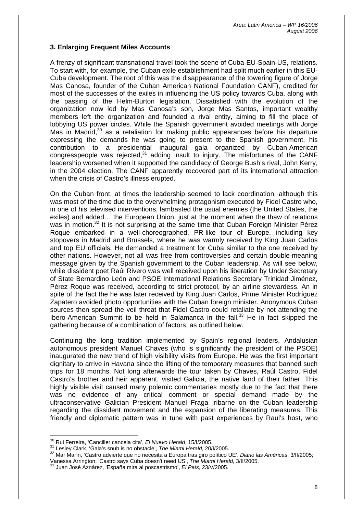# **3. Enlarging Frequent Miles Accounts**

A frenzy of significant transnational travel took the scene of Cuba-EU-Spain-US, relations. To start with, for example, the Cuban exile establishment had split much earlier in this EU-Cuba development. The root of this was the disappearance of the towering figure of Jorge Mas Canosa, founder of the Cuban American National Foundation CANF), credited for most of the successes of the exiles in influencing the US policy towards Cuba, along with the passing of the Helm-Burton legislation. Dissatisfied with the evolution of the organization now led by Mas Canosa's son, Jorge Mas Santos, important wealthy members left the organization and founded a rival entity, aiming to fill the place of lobbying US power circles. While the Spanish government avoided meetings with Jorge Mas in Madrid,<sup>30</sup> as a retaliation for making public appearances before his departure expressing the demands he was going to present to the Spanish government, his contribution to a presidential inaugural gala organized by Cuban-American congresspeople was rejected, $31$  adding insult to injury. The misfortunes of the CANF leadership worsened when it supported the candidacy of George Bush's rival, John Kerry, in the 2004 election. The CANF apparently recovered part of its international attraction when the crisis of Castro's illness erupted.

On the Cuban front, at times the leadership seemed to lack coordination, although this was most of the time due to the overwhelming protagonism executed by Fidel Castro who, in one of his televised interventions, lambasted the usual enemies (the United States, the exiles) and added… the European Union, just at the moment when the thaw of relations was in motion.<sup>32</sup> It is not surprising at the same time that Cuban Foreign Minister Pérez Roque embarked in a well-choreographed, PR-like tour of Europe, including key stopovers in Madrid and Brussels, where he was warmly received by King Juan Carlos and top EU officials. He demanded a treatment for Cuba similar to the one received by other nations. However, not all was free from controversies and certain double-meaning message given by the Spanish government to the Cuban leadership. As will see below, while dissident poet Raúl Rivero was well received upon his liberation by Under Secretary of State Bernardino León and PSOE International Relations Secretary Trinidad Jiménez, Pérez Roque was received, according to strict protocol, by an airline stewardess. An in spite of the fact the he was later received by King Juan Carlos, Prime Minister Rodríguez Zapatero avoided photo opportunities with the Cuban foreign minister. Anonymous Cuban sources then spread the veil threat that Fidel Castro could retaliate by not attending the Ibero-American Summit to be held in Salamanca in the fall. $33$  He in fact skipped the gathering because of a combination of factors, as outlined below.

Continuing the long tradition implemented by Spain's regional leaders, Andalusian autonomous president Manuel Chaves (who is significantly the president of the PSOE) inaugurated the new trend of high visibility visits from Europe. He was the first important dignitary to arrive in Havana since the lifting of the temporary measures that banned such trips for 18 months. Not long afterwards the tour taken by Chaves, Raúl Castro, Fidel Castro's brother and heir apparent, visited Galicia, the native land of their father. This highly visible visit caused many polemic commentaries mostly due to the fact that there was no evidence of any critical comment or special demand made by the ultraconservative Galician President Manuel Fraga Iribarne on the Cuban leadership regarding the dissident movement and the expansion of the liberating measures. This friendly and diplomatic pattern was in tune with past experiences by Raul's host, who

<span id="page-8-0"></span><sup>&</sup>lt;sup>30</sup> Rui Ferreira. 'Canciller cancela cita', El Nuevo Herald, 15/I/2005.

<span id="page-8-2"></span><span id="page-8-1"></span>

<sup>31</sup> Lesley Clark, 'Gala's snub is no obstacle', The Miami Herald, 20/1/2005.<br><sup>32</sup> Mar Marín, 'Castro advierte que no necesita a Europa tras giro político UE', *Diario las Américas*, 3/11/2005; Vanessa Arrington, 'Castro says Cuba doesn't need US', *The Miami Herald*, 3/II/2005.

<span id="page-8-3"></span><sup>33</sup> Juan José Aznárez, 'España mira al poscastrismo', *El País*, 23/V/2005.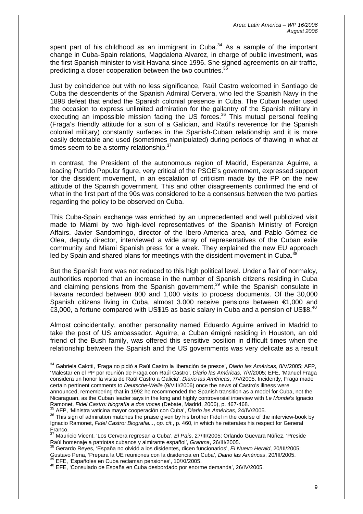spent part of his childhood as an immigrant in Cuba. $34$  As a sample of the important change in Cuba-Spain relations, Magdalena Alvarez, in charge of public investment, was the first Spanish minister to visit Havana since 1996. She signed agreements on air traffic, predicting a closer cooperation between the two countries.<sup>3</sup>

Just by coincidence but with no less significance, Raúl Castro welcomed in Santiago de Cuba the descendents of the Spanish Admiral Cervera, who led the Spanish Navy in the 1898 defeat that ended the Spanish colonial presence in Cuba. The Cuban leader used the occasion to express unlimited admiration for the gallantry of the Spanish military in executing an impossible mission facing the US forces.<sup>36</sup> This mutual personal feeling (Fraga's friendly attitude for a son of a Galician, and Raúl's reverence for the Spanish colonial military) constantly surfaces in the Spanish-Cuban relationship and it is more easily detectable and used (sometimes manipulated) during periods of thawing in what at times seem to be a stormy relationship.<sup>37</sup>

In contrast, the President of the autonomous region of Madrid, Esperanza Aguirre, a leading Partido Popular figure, very critical of the PSOE's government, expressed support for the dissident movement, in an escalation of criticism made by the PP on the new attitude of the Spanish government. This and other disagreements confirmed the end of what in the first part of the 90s was considered to be a consensus between the two parties regarding the policy to be observed on Cuba.

This Cuba-Spain exchange was enriched by an unprecedented and well publicized visit made to Miami by two high-level representatives of the Spanish Ministry of Foreign Affairs. Javier Sandomingo, director of the Ibero-America area, and Pablo Gómez de Olea, deputy director, interviewed a wide array of representatives of the Cuban exile community and Miami Spanish press for a week. They explained the new EU approach led by Spain and shared plans for meetings with the dissident movement in Cuba.<sup>3</sup>

But the Spanish front was not reduced to this high political level. Under a flair of normalcy, authorities reported that an increase in the number of Spanish citizens residing in Cuba and claiming pensions from the Spanish government,  $39$  while the Spanish consulate in Havana recorded between 800 and 1,000 visits to process documents. Of the 30,000 Spanish citizens living in Cuba, almost 3.000 receive pensions between €1,000 and €3,000, a fortune compared with US\$15 as basic salary in Cuba and a pension of US\$8. $^{40}$  $^{40}$  $^{40}$ 

Almost coincidentally, another personality named Eduardo Aguirre arrived in Madrid to take the post of US ambassador. Aguirre, a Cuban émigré residing in Houston, an old friend of the Bush family, was offered this sensitive position in difficult times when the relationship between the Spanish and the US governments was very delicate as a result

<span id="page-9-0"></span><sup>34</sup> Gabriela Calotti, 'Fraga no pidió a Raúl Castro la liberación de presos', *Diario las Américas*, 8/V/2005; AFP, 'Malestar en el PP por reunión de Fraga con Raúl Castro', *Diario las Américas*, 7/V/2005; EFE, 'Manuel Fraga considera un honor la visita de Raúl Castro a Galicia', *Diario las Américas*, 7/V/2005. Incidently, Fraga made certain pertinent comments to *Deutsche-Welle* (9/VIII/2006) once the news of Castro's illness were announced, remembering that in 1992 he recommended the Spanish transition as a model for Cuba, not the

Nicaraguan, as the Cuban leader says in the long and highly controversial interview with *Le Monde*'s Ignacio<br>Ramonet, *Fidel Castro: biografía a dos voces* (Debate, Madrid, 2006), p. 467-468.

<span id="page-9-2"></span><span id="page-9-1"></span>

<sup>&</sup>lt;sup>35</sup> AFP, 'Ministra vaticina mayor cooperación con Cuba', *Diario las Américas*, 24/IV/2005.<br><sup>36</sup> This sign of admiration matches the praise given by his brother Fidel in the course of the interview-book by Ignacio Ramonet, *Fidel Castro: Biografia...*, *op. cit.*, p. 460, in which he reiterates his respect for General<br>Franco.<br><sup>37</sup> Mauricio Vicent<sup>41</sup> os Centera regresor a Cube<sup>7</sup>, El Peía 27/IU/2005: Orlanda Oueuses Négati (

<span id="page-9-3"></span>Mauricio Vicent, 'Los Cervera regresan a Cuba', *El País*, 27/III/2005; Orlando Guevara Núñez, 'Preside Raúl homenaje a patriotas cubanos y almirante español', *Granma*, 26/III/2005. 38 Gerardo Reyes, 'España no olvidó a los disidentes, dicen funcionarios', *El Nuevo Herald*, 20/III/2005;

<span id="page-9-4"></span>Gustavo Pena, 'Prepara la UE reuniones con la disidencia en Cuba', *Diario las Américas*, 20/III/2005.<br><sup>39</sup> EFE, 'Españoles en Cuba reclaman pensiones', 10/XI/2005.

<span id="page-9-6"></span><span id="page-9-5"></span><sup>40</sup> EFE, 'Consulado de España en Cuba desbordado por enorme demanda', 26/IV/2005.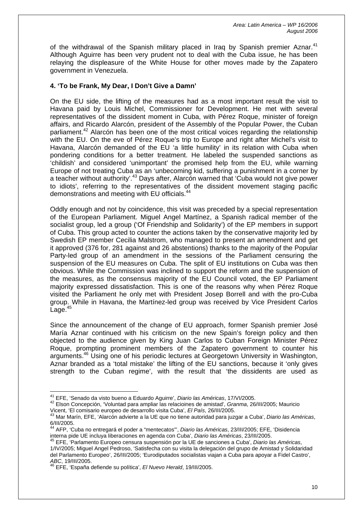of the withdrawal of the Spanish military placed in Iraq by Spanish premier Aznar.<sup>[41](#page-10-0)</sup> Although Aguirre has been very prudent not to deal with the Cuba issue, he has been relaying the displeasure of the White House for other moves made by the Zapatero government in Venezuela.

# **4. 'To be Frank, My Dear, I Don't Give a Damn'**

On the EU side, the lifting of the measures had as a most important result the visit to Havana paid by Louis Michel, Commissioner for Development. He met with several representatives of the dissident moment in Cuba, with Pérez Roque, minister of foreign affairs, and Ricardo Alarcón, president of the Assembly of the Popular Power, the Cuban parliament.<sup>42</sup> Alarcón has been one of the most critical voices regarding the relationship with the EU. On the eve of Pérez Roque's trip to Europe and right after Michel's visit to Havana, Alarcón demanded of the EU 'a little humility' in its relation with Cuba when pondering conditions for a better treatment. He labeled the suspended sanctions as 'childish' and considered 'unimportant' the promised help from the EU, while warning Europe of not treating Cuba as an 'unbecoming kid, suffering a punishment in a corner by a teacher without authority'.[43](#page-10-2) Days after, Alarcón warned that 'Cuba would not give power to idiots', referring to the representatives of the dissident movement staging pacific demonstrations and meeting with EU officials.<sup>[44](#page-10-3)</sup>

Oddly enough and not by coincidence, this visit was preceded by a special representation of the European Parliament. Miguel Angel Martínez, a Spanish radical member of the socialist group, led a group ('Of Friendship and Solidarity') of the EP members in support of Cuba. This group acted to counter the actions taken by the conservative majority led by Swedish EP member Cecilia Malstrom, who managed to present an amendment and get it approved (376 for, 281 against and 26 abstentions) thanks to the majority of the Popular Party-led group of an amendment in the sessions of the Parliament censuring the suspension of the EU measures on Cuba. The split of EU institutions on Cuba was then obvious. While the Commission was inclined to support the reform and the suspension of the measures, as the consensus majority of the EU Council voted, the EP Parliament majority expressed dissatisfaction. This is one of the reasons why when Pérez Roque visited the Parliament he only met with President Josep Borrell and with the pro-Cuba group. While in Havana, the Martínez-led group was received by Vice President Carlos Lage. $45$ 

Since the announcement of the change of EU approach, former Spanish premier José María Aznar continued with his criticism on the new Spain's foreign policy and then objected to the audience given by King Juan Carlos to Cuban Foreign Minister Pérez Roque, prompting prominent members of the Zapatero government to counter his arguments.[46](#page-10-5) Using one of his periodic lectures at Georgetown University in Washington, Aznar branded as a 'total mistake' the lifting of the EU sanctions, because it 'only gives strength to the Cuban regime', with the result that 'the dissidents are used as

<span id="page-10-0"></span><sup>&</sup>lt;sup>41</sup> EFE. 'Senado da visto bueno a Eduardo Aguirre', Diario las Américas, 17/VI/2005.

<span id="page-10-1"></span><sup>41</sup> EFE, 'Senado da visto bueno a Eduardo Aguirre', *Diario las Américas*, 17/VI/2005. 42 Elson Concepción, 'Voluntad para ampliar las relacioines de amistad', *Granma*, 26/III/2005; Mauricio Vicent, 'El comisario europeo de desarrollo visita Cuba', *El País*, 26/III/2005. 43 Mar Marín, EFE, 'Alarcón advierte a la UE que no tiene autoridad para juzgar a Cuba', *Diario las Américas*,

<span id="page-10-2"></span><sup>6/</sup>III/2005.

<span id="page-10-3"></span><sup>44</sup> AFP, 'Cuba no entregará el poder a "mentecatos"', *Diario las Américas*, 23/III/2005; EFE, 'Disidencia interna pide UE incluya liberaciones en agenda con Cuba', *Diario las Américas*, 23/III/2005. 45 EFE, 'Parlamento Europeo censura suspensión por la UE de sanciones a Cuba', *Diario las Américas*,

<span id="page-10-4"></span><sup>1/</sup>IV/2005; Miguel Angel Pedroso, 'Satisfecha con su visita la delegación del grupo de Amistad y Solidaridad del Parlamento Europeo', 26/III/2005; 'Eurodiputados socialistas viajan a Cuba para apoyar a Fidel Castro', *ABC*, 19/III/2005.

<span id="page-10-5"></span><sup>46</sup> EFE, 'España defiende su política', *El Nuevo Herald*, 19/III/2005.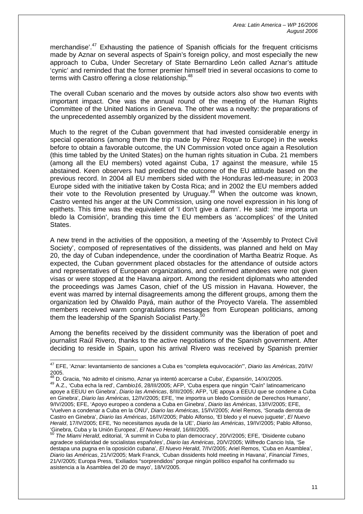merchandise<sup>'.47</sup> Exhausting the patience of Spanish officials for the frequent criticisms made by Aznar on several aspects of Spain's foreign policy, and most especially the new approach to Cuba, Under Secretary of State Bernardino León called Aznar's attitude 'cynic' and reminded that the former premier himself tried in several occasions to come to terms with Castro offering a close relationship.<sup>[48](#page-11-1)</sup>

The overall Cuban scenario and the moves by outside actors also show two events with important impact. One was the annual round of the meeting of the Human Rights Committee of the United Nations in Geneva. The other was a novelty: the preparations of the unprecedented assembly organized by the dissident movement.

Much to the regret of the Cuban government that had invested considerable energy in special operations (among them the trip made by Pérez Roque to Europe) in the weeks before to obtain a favorable outcome, the UN Commission voted once again a Resolution (this time tabled by the United States) on the human rights situation in Cuba. 21 members (among all the EU members) voted against Cuba, 17 against the measure, while 15 abstained. Keen observers had predicted the outcome of the EU attitude based on the previous record. In 2004 all EU members sided with the Honduras led-measure; in 2003 Europe sided with the initiative taken by Costa Rica; and in 2002 the EU members added their vote to the Revolution presented by Uruguay.[49](#page-11-2) When the outcome was known, Castro vented his anger at the UN Commission, using one novel expression in his long of epithets. This time was the equivalent of 'I don't give a damn'. He said: 'me importa un bledo la Comisión', branding this time the EU members as 'accomplices' of the United States.

A new trend in the activities of the opposition, a meeting of the 'Assembly to Protect Civil Society', composed of representatives of the dissidents, was planned and held on May 20, the day of Cuban independence, under the coordination of Martha Beatriz Roque. As expected, the Cuban government placed obstacles for the attendance of outside actors and representatives of European organizations, and confirmed attendees were not given visas or were stopped at the Havana airport. Among the resident diplomats who attended the proceedings was James Cason, chief of the US mission in Havana. However, the event was marred by internal disagreements among the different groups, among them the organization led by Olwaldo Payá, main author of the Proyecto Varela. The assembled members received warm congratulations messages from European politicians, among them the leadership of the Spanish Socialist Party.<sup>[50](#page-11-3)</sup>

Among the benefits received by the dissident community was the liberation of poet and journalist Raúl Rivero, thanks to the active negotiations of the Spanish government. After deciding to reside in Spain, upon his arrival Rivero was received by Spanish premier

<span id="page-11-0"></span><sup>47</sup> EFE, 'Aznar: levantamiento de sanciones a Cuba es "completa equivocación"', *Diario las Américas*, 20/IV/ 2005. 48 D. Gracia, 'No admito el cinismo, Aznar ya intentó acercarse a Cuba', *Expansión*, 14/XI/2005. 49 A.Z., 'Cuba echa la red', *Cambio16*, 28/III/2005; AFP, 'Cuba espera que ningún "Caín" latinoamericano

<span id="page-11-1"></span>

<span id="page-11-2"></span>apoye a EEUU en Ginebra', *Diario las Américas*, 8/III/2005; AFP, 'UE apoya a EEUU que se condene a Cuba en Ginebra', *Diario las Américas*, 12/IV/2005; EFE, 'me importra un bledo Comisión de Derechos Humano', 9/IV/2005; EFE, 'Apoyo europeo a condena a Cuba en Ginebra', *Diario las Américas*, 13/IV/2005; EFE, 'Vuelven a condenar a Cuba en la ONU', *Diario las Américas*, 15/IV/2005; Ariel Remos, 'Sonada derrota de Castro en Ginebra', *Diario las Américas*, 16/IV/2005; Pablo Alfonso, 'El bledo y el nuevo juguete', *El Nuevo Herald*, 17/IV/2005; EFE, 'No necesitamos ayuda de la UE', *Diario las Américas*, 19/IV/2005; Pablo Alfonso, 'Ginebra, Cuba y la Unión Europea', *El Nuevo Herald*, 16/III/2005.

<span id="page-11-3"></span><sup>50</sup> *The Miami Herald*, editorial, 'A summit in Cuba to plan democracy', 20/V/2005; EFE, 'Disidente cubano agradece solidaridad de socialistas españoles', *Diario las Américas*, 20/V/2005; Wilfredo Cancio Isla, 'Se destapa una pugna en la oposición cubana', *El Nuevo Herald*, 7/IV/2005; Ariel Remos, 'Cuba en Asamblea', *Diario las Américas*, 21/V/2005; Mark Franck, 'Cuban dissidents hold meeting in Havana', *Financial Times*, 21/V/2005; Europa Press, 'Exiliados "sorprendidos" porque ningún político español ha confirmado su asistencia a la Asamblea del 20 de mayo', 18/V/2005.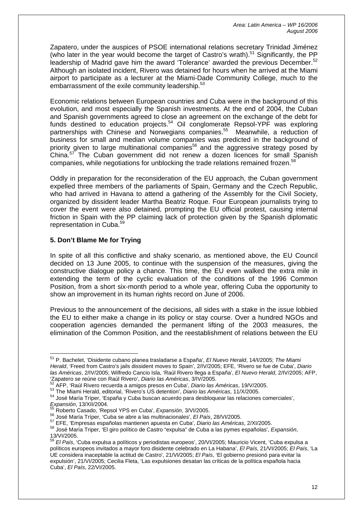Zapatero, under the auspices of PSOE international relations secretary Trinidad Jiménez (who later in the year would become the target of Castro's wrath).<sup>51</sup> Significantly, the PP leadership of Madrid gave him the award 'Tolerance' awarded the previous December.<sup>[52](#page-12-1)</sup> Although an isolated incident, Rivero was detained for hours when he arrived at the Miami airport to participate as a lecturer at the Miami-Dade Community College, much to the embarrassment of the exile community leadership.<sup>[53](#page-12-2)</sup>

Economic relations between European countries and Cuba were in the background of this evolution, and most especially the Spanish investments. At the end of 2004, the Cuban and Spanish governments agreed to close an agreement on the exchange of the debt for funds destined to education projects. $54$  Oil conglomerate Repsol-YPF was exploring partnerships with Chinese and Norwegians companies.<sup>55</sup> Meanwhile, a reduction of business for small and median volume companies was predicted in the background of priority given to large multinational companies<sup>56</sup> and the aggressive strategy posed by China.<sup>57</sup> The Cuban government did not renew a dozen licences for small Spanish companies, while negotiations for unblocking the trade relations remained frozen.<sup>[58](#page-12-7)</sup>

Oddly in preparation for the reconsideration of the EU approach, the Cuban government expelled three members of the parliaments of Spain, Germany and the Czech Republic, who had arrived in Havana to attend a gathering of the Assembly for the Civil Society, organized by dissident leader Martha Beatriz Roque. Four European journalists trying to cover the event were also detained, prompting the EU official protest, causing internal friction in Spain with the PP claiming lack of protection given by the Spanish diplomatic representation in Cuba.[59](#page-12-8)

## **5. Don't Blame Me for Trying**

In spite of all this conflictive and shaky scenario, as mentioned above, the EU Council decided on 13 June 2005, to continue with the suspension of the measures, giving the constructive dialogue policy a chance. This time, the EU even walked the extra mile in extending the term of the cyclic evaluation of the conditions of the 1996 Common Position, from a short six-month period to a whole year, offering Cuba the opportunity to show an improvement in its human rights record on June of 2006.

Previous to the announcement of the decisions, all sides with a stake in the issue lobbied the EU to either make a change in its policy or stay course. Over a hundred NGOs and cooperation agencies demanded the permanent lifting of the 2003 measures, the elimination of the Common Position, and the reestablishment of relations between the EU

<span id="page-12-0"></span> $\overline{a}$ 51 P. Bachelet, 'Disidente cubano planea trasladarse a España', *El Nuevo Herald*, 14/I/2005; *The Miami Herald*, 'Freed from Castro's jails dissident moves to Spain', 2/IV/2005; EFE, 'Rivero se fue de Cuba', *Diario las Américas*, 2/IV/2005; Wilfredo Cancio Isla, 'Raúl Rivero llega a España', *El Nuevo Herald*, 2/IV/2005; AFP,

<span id="page-12-1"></span>

<span id="page-12-3"></span><span id="page-12-2"></span>

 $^{52}$  AFP, 'Raúl Rivero recuerda a amigos presos en Cuba', Diario las Américas, 19/V/2005.<br>  $^{53}$  The Miami Herald, editorial, 'Rivero's US detention', Diario las Américas, 11/X/2005.<br>  $^{54}$  José María Tríper, 'España

<span id="page-12-4"></span>

<span id="page-12-5"></span>

<span id="page-12-7"></span><span id="page-12-6"></span>

<sup>&</sup>lt;sup>55</sup> Roberto Casado, 'Repsol YPS en Cuba', *Expansión*, 3/VI/2005.<br><sup>56</sup> José María Tríper, 'Cuba se abre a las multinacionales', *El País*, 28/VI/2005.<br><sup>57</sup> EFE, 'Empresas españolas mantienen apuesta en Cuba', *Diario las* 13/VI/2005.

<span id="page-12-8"></span><sup>59</sup> *El País*, 'Cuba expulsa a políticos y periodistas europeos', 20/VI/2005; Mauricio Vicent, 'Cuba expulsa a políticos europeos invitados a mayor foro disidente celebrado en La Habana', *El País,* 21/VI/2005; *El País*, 'La UE considera inaceptable la actitud de Castro', 21/VI/2005; *El País*, 'El gobierno presionó para evitar la expulsión', 21/VI/2005; Cecilia Fleta, 'Las expulsiones desatan las críticas de la política española hacia Cuba', *El País*, 22/VI/2005.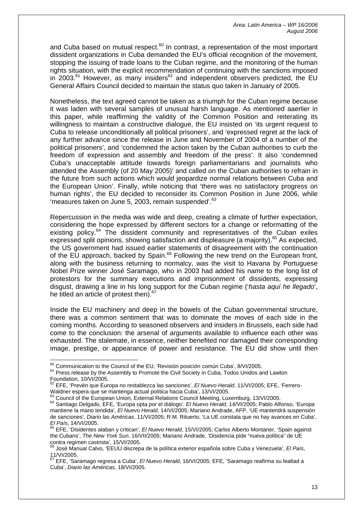and Cuba based on mutual respect. $60$  In contrast, a representation of the most important dissident organizations in Cuba demanded the EU's official recognition of the movement, stopping the issuing of trade loans to the Cuban regime, and the monitoring of the human rights situation, with the explicit recommendation of continuing with the sanctions imposed  $\overline{a}$  2003.<sup>61</sup> However, as many insiders<sup>62</sup> and independent observers predicted, the EU General Affairs Council decided to maintain the status quo taken in January of 2005.

Nonetheless, the text agreed cannot be taken as a triumph for the Cuban regime because it was laden with several samples of unusual harsh language. As mentioned aaerlier in this paper, while reaffirming the validity of the Common Position and reiterating its willingness to maintain a constructive dialogue, the EU insisted on 'its urgent request to Cuba to release unconditionally all political prisoners', and 'expressed regret at the lack of any further advance since the release in June and November of 2004 of a number of the political prisoners', and 'condemned the action taken by the Cuban authorities to curb the freedom of expression and assembly and freedom of the press'. It also 'condemned Cuba's unacceptable attitude towards foreign parliamentarians and journalists who attended the Assembly (of 20 May 2005)' and called on the Cuban authorities to refrain in the future from such actions which would jeopardize normal relations between Cuba and the European Union'. Finally, while noticing that 'there was no satisfactory progress on human rights', the EU decided to reconsider its Common Position in June 2006, while 'measures taken on June 5, 2003, remain suspended'.<sup>[63](#page-13-3)</sup>

Repercussion in the media was wide and deep, creating a climate of further expectation, considering the hope expressed by different sectors for a change or reformatting of the existing policy.<sup>64</sup> The dissident community and representatives of the Cuban exiles expressed split opinions, showing satisfaction and displeasure (a majority).[65](#page-13-5) As expected, the US government had issued earlier statements of disagreement with the continuation of the EU approach, backed by Spain.<sup>66</sup> Following the new trend on the European front, along with the business returning to normalcy, was the visit to Havana by Portuguese Nobel Prize winner José Saramago, who in 2003 had added his name to the long list of protestors for the summary executions and imprisonment of dissidents, expressing disgust, drawing a line in his long support for the Cuban regime ('*hasta aquí he llegado*', he titled an article of protest then).<sup>[67](#page-13-7)</sup>

Inside the EU machinery and deep in the bowels of the Cuban governmental structure, there was a common sentiment that was to dominate the moves of each side in the coming months. According to seasoned observers and insiders in Brussels, each side had come to the conclusion: the arsenal of arguments available to influence each other was exhausted. The stalemate, in essence, neither benefited nor damaged their corresponding image, prestige, or appearance of power and resistance. The EU did show until then

<span id="page-13-0"></span><sup>&</sup>lt;sup>60</sup> Communication to the Council of the EU, 'Revisión posición común Cuba', 8/VI/2005.

<span id="page-13-1"></span> $61$  Press release by the Assembly to Promote the Civil Society in Cuba, Todos Unidos and Lawton Foundation. 10/VI/2005.

<span id="page-13-2"></span><sup>&</sup>lt;sup>62</sup> EFE, 'Prevén que Europa no restablezca las sanciones', *El Nuevo Herald*, 11/VI/2005; EFE, 'Ferrero-<br>Waldner espera que se mantenga actual política hacia Cuba', 13/VI/2005.

<span id="page-13-4"></span><span id="page-13-3"></span>

Waldner espera que se mantenga actual política hacia Cuba', 13/VI/2005.<br><sup>63</sup> Council of the European Union, External Relations Council Meeting, Luxemburg, 13/VI/2005.<br><sup>64</sup> Santiago Delgado, EFE, 'Europa opta por el diálogo mantiene la mano tendida', *El Nuevo Herald*, 14/VI/2005; Mariano Andrade, AFP, 'UE mantendrá suspensión de sanciones', *Diario las Américas*, 11/VI/2005; R.M. Rituerto, 'La UE constata que no hay avances en Cuba',

<span id="page-13-5"></span><sup>&</sup>lt;sup>65</sup> EFE, 'Disidentes alaban y critican', *El Nuevo Herald*, 15/VI/2005; Carlos Alberto Montaner, 'Spain against the Cubans', *The New York Sun*, 16/VII/2005; Mariano Andrade, 'Disidencia pide "nueva política" de UE contra regimen castrista', 15/VI/2005.<br>
<sup>66</sup> José Manual Calvo, 'EEUU discrepa de la política exterior española sobre Cuba y Venezuela', *El País*,

<span id="page-13-6"></span><sup>11/</sup>VI/2005.

<span id="page-13-7"></span><sup>67</sup> EFE, 'Saramago regresa a Cuba', *El Nuevo Herald*, 16/VI/2005; EFE, 'Saramago reafirma su lealtad a Cuba', *Diario las Américas*, 18/VI/2005.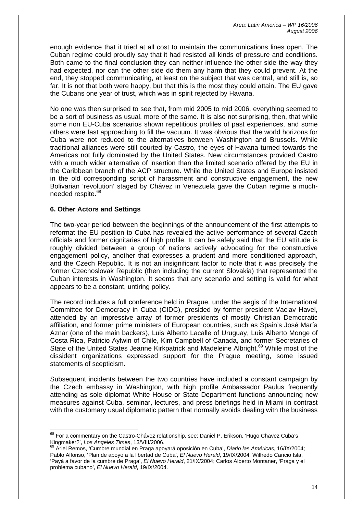enough evidence that it tried at all cost to maintain the communications lines open. The Cuban regime could proudly say that it had resisted all kinds of pressure and conditions. Both came to the final conclusion they can neither influence the other side the way they had expected, nor can the other side do them any harm that they could prevent. At the end, they stopped communicating, at least on the subject that was central, and still is, so far. It is not that both were happy, but that this is the most they could attain. The EU gave the Cubans one year of trust, which was in spirit rejected by Havana.

No one was then surprised to see that, from mid 2005 to mid 2006, everything seemed to be a sort of business as usual, more of the same. It is also not surprising, then, that while some non EU-Cuba scenarios shown repetitious profiles of past experiences, and some others were fast approaching to fill the vacuum. It was obvious that the world horizons for Cuba were not reduced to the alternatives between Washington and Brussels. While traditional alliances were still courted by Castro, the eyes of Havana turned towards the Americas not fully dominated by the United States. New circumstances provided Castro with a much wider alternative of insertion than the limited scenario offered by the EU in the Caribbean branch of the ACP structure. While the United States and Europe insisted in the old corresponding script of harassment and constructive engagement, the new Bolivarian 'revolution' staged by Chávez in Venezuela gave the Cuban regime a much-needed respite.<sup>[68](#page-14-0)</sup>

## **6. Other Actors and Settings**

 $\overline{a}$ 

The two-year period between the beginnings of the announcement of the first attempts to reformat the EU position to Cuba has revealed the active performance of several Czech officials and former dignitaries of high profile. It can be safely said that the EU attitude is roughly divided between a group of nations actively advocating for the constructive engagement policy, another that expresses a prudent and more conditioned approach, and the Czech Republic. It is not an insignificant factor to note that it was precisely the former Czechoslovak Republic (then including the current Slovakia) that represented the Cuban interests in Washington. It seems that any scenario and setting is valid for what appears to be a constant, untiring policy.

The record includes a full conference held in Prague, under the aegis of the International Committee for Democracy in Cuba (CIDC), presided by former president Vaclav Havel, attended by an impressive array of former presidents of mostly Christian Democratic affiliation, and former prime ministers of European countries, such as Spain's José María Aznar (one of the main backers), Luis Alberto Lacalle of Uruguay, Luis Alberto Monge of Costa Rica, Patricio Aylwin of Chile, Kim Campbell of Canada, and former Secretaries of State of the United States Jeanne Kirkpatrick and Madeleine Albright.<sup>69</sup> While most of the dissident organizations expressed support for the Prague meeting, some issued statements of scepticism.

Subsequent incidents between the two countries have included a constant campaign by the Czech embassy in Washington, with high profile Ambassador Paulus frequently attending as sole diplomat White House or State Department functions announcing new measures against Cuba, seminar, lectures, and press briefings held in Miami in contrast with the customary usual diplomatic pattern that normally avoids dealing with the business

<span id="page-14-0"></span> $^{68}$  For a commentary on the Castro-Chávez relationship, see: Daniel P. Erikson, 'Hugo Chavez Cuba's Kingmaker?', *Los Angeles Times*, 13/VIII/2006.

<span id="page-14-1"></span><sup>69</sup> Ariel Remos, 'Cumbre mundial en Praga apoyará oposición en Cuba', *Diario las Américas*, 16/IX/2004; Pablo Alfonso, 'Plan de apoyo a la libertad de Cuba', *El Nuevo Herald*, 19/IX/2004; Wilfredo Cancio Isla, 'Payá a favor de la cumbre de Praga', *El Nuevo Herald*, 21/IX/2004; Carlos Alberto Montaner, 'Praga y el problema cubano', *El Nuevo Herald*, 19/IX/2004.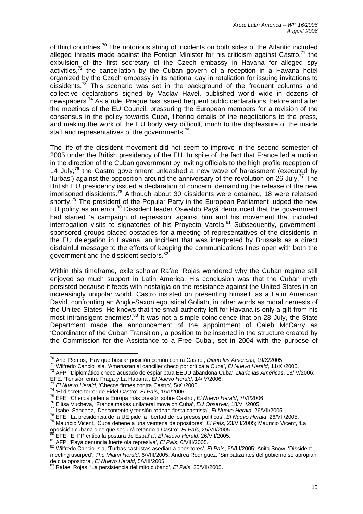of third countries.<sup>70</sup> The notorious string of incidents on both sides of the Atlantic included alleged threats made against the Foreign Minister for his criticism against Castro, $7<sup>1</sup>$  the expulsion of the first secretary of the Czech embassy in Havana for alleged spy activities,<sup>72</sup> the cancellation by the Cuban govern of a reception in a Havana hotel organized by the Czech embassy in its national day in retaliation for issuing invitations to dissidents.<sup>73</sup> This scenario was set in the background of the frequent columns and collective declarations signed by Vaclav Havel, published world wide in dozens of newspapers.[74](#page-15-4) As a rule, Prague has issued frequent public declarations, before and after the meetings of the EU Council, pressuring the European members for a revision of the consensus in the policy towards Cuba, filtering details of the negotiations to the press, and making the work of the EU body very difficult, much to the displeasure of the inside staff and representatives of the governments.<sup>[75](#page-15-5)</sup>

The life of the dissident movement did not seem to improve in the second semester of 2005 under the British presidency of the EU. In spite of the fact that France led a motion in the direction of the Cuban government by inviting officials to the high profile reception of 14 July,  $76$  the Castro government unleashed a new wave of harassment (executed by 'turbas') against the opposition around the anniversary of the revolution on 26 July.<sup>77</sup> The British EU presidency issued a declaration of concern, demanding the release of the new imprisoned dissidents.[78](#page-15-8) Although about 30 dissidents were detained, 18 were released shortly.<sup>79</sup> The president of the Popular Party in the European Parliament judged the new EU policy as an error.<sup>80</sup> Dissident leader Oswaldo Payá denounced that the government had started 'a campaign of repression' against him and his movement that included interrogation visits to signatories of his Proyecto Varela.<sup>81</sup> Subsequently, governmentsponsored groups placed obstacles for a meeting of representatives of the dissidents in the EU delegation in Havana, an incident that was interpreted by Brussels as a direct disdainful message to the efforts of keeping the communications lines open with both the government and the dissident sectors.<sup>[82](#page-15-12)</sup>

Within this timeframe, exile scholar Rafael Rojas wondered why the Cuban regime still enjoyed so much support in Latin America. His conclusion was that the Cuban myth persisted because it feeds with nostalgia on the resistance against the United States in an increasingly unipolar world. Castro insisted on presenting himself 'as a Latin American David, confronting an Anglo-Saxon egotistical Goliath, in other words as moral nemesis of the United States. He knows that the small authority left for Havana is only a gift from his most intransigent enemies<sup>'83</sup> It was not a simple coincidence that on 28 July, the State Department made the announcement of the appointment of Caleb McCarry as 'Coordinator of the Cuban Transition', a position to be inserted in the structure created by the Commission for the Assistance to a Free Cuba', set in 2004 with the purpose of

<span id="page-15-0"></span><sup>&</sup>lt;sup>70</sup> Ariel Remos. 'Hay que buscar posición común contra Castro', Diario las Américas, 19/X/2005.

<span id="page-15-2"></span><span id="page-15-1"></span>

<sup>71</sup> Wilfredo Cancio Isla, 'Amenazan al canciller checo por crítica a Cuba', El Nuevo Herald, 11/XI/2005.<br><sup>72</sup> AFP, 'Diplomático checo acusado de espiar para EEUU abandona Cuba', Diario las Américas, 18/IV/2006;<br>EFE. 'Tensió

<span id="page-15-3"></span>

<span id="page-15-4"></span>

<span id="page-15-5"></span>

<span id="page-15-6"></span>

<span id="page-15-8"></span><span id="page-15-7"></span>

<sup>&</sup>lt;sup>73</sup> El Nuevo Herald, 'Checos firmes contra Castro', 5/XI/2005.<br><sup>74</sup> 'El discreto terror de Fidel Castro', *El País*, 1/VI/2006.<br><sup>75</sup> EFE, 'Checos piden a Europa más presión sobre Castro', *El Nuevo Herald*, 7/VI/2006.<br><sup>7</sup>

<span id="page-15-9"></span>

<span id="page-15-10"></span>

<span id="page-15-12"></span><span id="page-15-11"></span>

<sup>&</sup>lt;sup>80</sup> EFE, 'El PP critica la postura de España', *El Nuevo Herald*, 26/VII/2005.<br><sup>81</sup> AFP, 'Payá denuncia fuerte ola represiva', *El País*, 6/VIII/2005.<br><sup>82</sup> Wilfredo Cancio Isla, 'Turbas castristas asedian a opositores', meeting usurped', *The Miami Herald*, 6/VIII/2005; Andrea Rodríguez, 'Simpatizantes del gobierno se apropian de cita opositora', *El Nuevo Herald*, 5/VIII/2005.

<span id="page-15-13"></span><sup>83</sup> Rafael Rojas, 'La persistencia del mito cubano', *El País*, 25/VII/2005.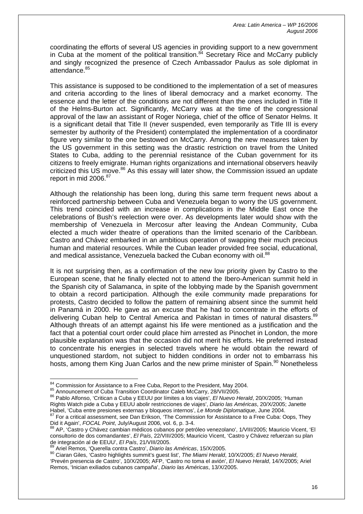coordinating the efforts of several US agencies in providing support to a new government in Cuba at the moment of the political transition.<sup>84</sup> Secretary Rice and McCarry publicly and singly recognized the presence of Czech Ambassador Paulus as sole diplomat in attendance.<sup>[85](#page-16-1)</sup>

This assistance is supposed to be conditioned to the implementation of a set of measures and criteria according to the lines of liberal democracy and a market economy. The essence and the letter of the conditions are not different than the ones included in Title II of the Helms-Burton act. Significantly, McCarry was at the time of the congressional approval of the law an assistant of Roger Noriega, chief of the office of Senator Helms. It is a significant detail that Title II (never suspended, even temporarily as Title III is every semester by authority of the President) contemplated the implementation of a coordinator figure very similar to the one bestowed on McCarry. Among the new measures taken by the US government in this setting was the drastic restriction on travel from the United States to Cuba, adding to the perennial resistance of the Cuban government for its citizens to freely emigrate. Human rights organizations and international observers heavily criticized this US move.<sup>86</sup> As this essay will later show, the Commission issued an update report in mid 2006.<sup>[87](#page-16-3)</sup>

Although the relationship has been long, during this same term frequent news about a reinforced partnership between Cuba and Venezuela began to worry the US government. This trend coincided with an increase in complications in the Middle East once the celebrations of Bush's reelection were over. As developments later would show with the membership of Venezuela in Mercosur after leaving the Andean Community, Cuba elected a much wider theatre of operations than the limited scenario of the Caribbean. Castro and Chávez embarked in an ambitious operation of swapping their much precious human and material resources. While the Cuban leader provided free social, educational, and medical assistance, Venezuela backed the Cuban economy with oil.<sup>[88](#page-16-4)</sup>

It is not surprising then, as a confirmation of the new low priority given by Castro to the European scene, that he finally elected not to attend the Ibero-American summit held in the Spanish city of Salamanca, in spite of the lobbying made by the Spanish government to obtain a record participation. Although the exile community made preparations for protests, Castro decided to follow the pattern of remaining absent since the summit held in Panamá in 2000. He gave as an excuse that he had to concentrate in the efforts of delivering Cuban help to Central America and Pakistan in times of natural disasters.<sup>[89](#page-16-5)</sup> Although threats of an attempt against his life were mentioned as a justification and the fact that a potential court order could place him arrested as Pinochet in London, the more plausible explanation was that the occasion did not merit his efforts. He preferred instead to concentrate his energies in selected travels where he would obtain the reward of unquestioned stardom, not subject to hidden conditions in order not to embarrass his hosts, among them King Juan Carlos and the new prime minister of Spain.<sup>90</sup> Nonetheless

<span id="page-16-0"></span><sup>84</sup> Commission for Assistance to a Free Cuba, Report to the President, May 2004.

<span id="page-16-2"></span><span id="page-16-1"></span>

<sup>85</sup> Announcement of Cuba Transition Coordinator Caleb McCarry, 28/VII/2005.<br>86 Pablo Alfonso, 'Critican a Cuba y EEUU por límites a los viajes', *El Nuevo Herald*, 20/X/2005; 'Human Rights Watch pide a Cuba y EEUU abolir restricciones de viajes', *Diario las Américas*, 20/X/2005; Janette

<span id="page-16-3"></span>Habel, 'Cuba entre presiones externas y bloqueos internos', *Le Monde Diplomatique*, June 2004.<br><sup>87</sup> For a critical assessment, see Dan Erikson, 'The Commission for Assistance to a Free Cuba: Oops, They Did it Again', *FOC* 

<span id="page-16-4"></span>AP, 'Castro y Chávez cambian médicos cubanos por petróleo venezolano', 1/VIII/2005; Mauricio Vicent, 'El consultorio de dos comandantes', *El País*, 22/VIII/2005; Mauricio Vicent, 'Castro y Chávez refuerzan su plan de integración al de EEUU', *El País*, 21/VIII/2005. 89 Ariel Remos, 'Querella contra Castro', *Diario las Américas*, 15/X/2005.

<span id="page-16-5"></span>

<span id="page-16-6"></span><sup>90</sup> Ciaran Giles, 'Castro highlights summit's guest list', *The Miami Herald*, 10/X/2005; *El Nuevo Herald*, 'Prevén presencia de Castro', 10/X/2005; AFP, 'Castro no toma el avión', *El Nuevo Herald*, 14/X/2005; Ariel Remos, 'Inician exiliados cubanos campaña', *Diario las Américas*, 13/X/2005.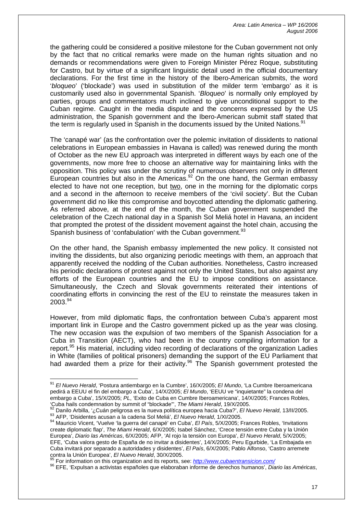the gathering could be considered a positive milestone for the Cuban government not only by the fact that no critical remarks were made on the human rights situation and no demands or recommendations were given to Foreign Minister Pérez Roque, substituting for Castro, but by virtue of a significant linguistic detail used in the official documentary declarations. For the first time in the history of the Ibero-American submits, the word '*bloqueo*' ('blockade') was used in substitution of the milder term 'embargo' as it is customarily used also in governmental Spanish. '*Bloqueo*' is normally only employed by parties, groups and commentators much inclined to give unconditional support to the Cuban regime. Caught in the media dispute and the concerns expressed by the US administration, the Spanish government and the Ibero-American submit staff stated that the term is regularly used in Spanish in the documents issued by the United Nations.<sup>91</sup>

The 'canapé war' (as the confrontation over the polemic invitation of dissidents to national celebrations in European embassies in Havana is called) was renewed during the month of October as the new EU approach was interpreted in different ways by each one of the governments, now more free to choose an alternative way for maintaining links with the opposition. This policy was under the scrutiny of numerous observers not only in different European countries but also in the Americas.<sup>92</sup> On the one hand, the German embassy elected to have not one reception, but two, one in the morning for the diplomatic corps and a second in the afternoon to receive members of the 'civil society'. But the Cuban government did no like this compromise and boycotted attending the diplomatic gathering. As referred above, at the end of the month, the Cuban government suspended the celebration of the Czech national day in a Spanish Sol Meliá hotel in Havana, an incident that prompted the protest of the dissident movement against the hotel chain, accusing the Spanish business of 'confabulation' with the Cuban government.<sup>[93](#page-17-2)</sup>

On the other hand, the Spanish embassy implemented the new policy. It consisted not inviting the dissidents, but also organizing periodic meetings with them, an approach that apparently received the nodding of the Cuban authorities. Nonetheless, Castro increased his periodic declarations of protest against not only the United States, but also against any efforts of the European countries and the EU to impose conditions on assistance. Simultaneously, the Czech and Slovak governments reiterated their intentions of coordinating efforts in convincing the rest of the EU to reinstate the measures taken in 2003.<sup>[94](#page-17-3)</sup>

However, from mild diplomatic flaps, the confrontation between Cuba's apparent most important link in Europe and the Castro government picked up as the year was closing. The new occasion was the expulsion of two members of the Spanish Association for a Cuba in Transition (AECT), who had been in the country compiling information for a report.<sup>95</sup> His material, including video recording of declarations of the organization Ladies in White (families of political prisoners) demanding the support of the EU Parliament that had awarded them a prize for their activity.<sup>96</sup> The Spanish government protested the

<span id="page-17-0"></span><sup>91</sup> *El Nuevo Herald*, 'Postura antiembargo en la Cumbre', 16/X/2005; *El Mundo*, 'La Cumbre Iberoamericana pedirá a EEUU el fin del embargo a Cuba', 14/X/2005; *El Mundo*, 'EEUU ve "inquietante" la condena del embargo a Cuba', 15/X/2005; *PL*, 'Exito de Cuba en Cumbre Iberoamericana', 14/X/2005; Frances Robles,

<span id="page-17-1"></span><sup>&#</sup>x27;Cuba hails condemnation by summit of "blockade"', *The Miami Herald*, 19/X/2005.<br><sup>92</sup> Danilo Arbilla, '¿Cuán peligrosa es la nueva política europea hacia Cuba?', *El Nuevo Herald*, 13/II/2005.<br><sup>93</sup> AFP, 'Disidentes acusan

<span id="page-17-3"></span><span id="page-17-2"></span>create diplomatic flap', *The Miami Herald*, 6/X/2005; Isabel Sánchez, 'Crece tensión entre Cuba y la Unión Europea', *Diario las Américas*, 6/X/2005; AFP, 'Al rojo la tensión con Europa', *El Nuevo Herald*, 5/X/2005; EFE, 'Cuba valora gesto de España de no invitar a disidentes', 14/X/2005; Peru Egurbide, 'La Embajada en Cuba invitará por separado a autoridades y disidentes', *El País*, 6/X/2005; Pablo Alfonso, 'Castro arremete contra la Unión Europea', *El Nuevo Herald*, 30/X/2005.<br><sup>95</sup> For information on this organization and its reports, see: *<http://www.cubaentransicion.com/>* 

<span id="page-17-4"></span>

<span id="page-17-5"></span><sup>96</sup> EFE, 'Expulsan a activistas españoles que elaboraban informe de derechos humanos', *Diario las Américas*,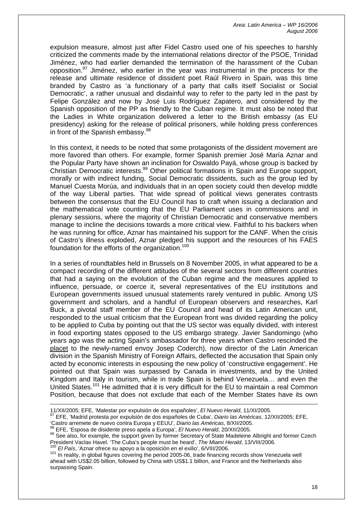expulsion measure, almost just after Fidel Castro used one of his speeches to harshly criticized the comments made by the international relations director of the PSOE, Trinidad Jiménez, who had earlier demanded the termination of the harassment of the Cuban opposition. $97$  Jiménez, who earlier in the year was instrumental in the process for the release and ultimate residence of dissident poet Raúl Rivero in Spain, was this time branded by Castro as 'a functionary of a party that calls itself Socialist or Social Democratic', a rather unusual and disdainful way to refer to the party led in the past by Felipe González and now by José Luis Rodríguez Zapatero, and considered by the Spanish opposition of the PP as friendly to the Cuban regime. It must also be noted that the Ladies in White organization delivered a letter to the British embassy (as EU presidency) asking for the release of political prisoners, while holding press conferences in front of the Spanish embassy.<sup>[98](#page-18-1)</sup>

In this context, it needs to be noted that some protagonists of the dissident movement are more favored than others. For example, former Spanish premier José María Aznar and the Popular Party have shown an inclination for Oswaldo Payá, whose group is backed by Christian Democratic interests.<sup>99</sup> Other political formations in Spain and Europe support, morally or with indirect funding, Social Democratic dissidents, such as the group led by Manuel Cuesta Morúa, and individuals that in an open society could then develop middle of the way Liberal parties. That wide spread of political views generates contrasts between the consensus that the EU Council has to craft when issuing a declaration and the mathematical vote counting that the EU Parliament uses in commissions and in plenary sessions, where the majority of Christian Democratic and conservative members manage to incline the decisions towards a more critical view. Faithful to his backers when he was running for office, Aznar has maintained his support for the CANF. When the crisis of Castro's illness exploded, Aznar pledged his support and the resources of his FAES foundation for the efforts of the organization.<sup>100</sup>

In a series of roundtables held in Brussels on 8 November 2005, in what appeared to be a compact recording of the different attitudes of the several sectors from different countries that had a saying on the evolution of the Cuban regime and the measures applied to influence, persuade, or coerce it, several representatives of the EU institutions and European governments issued unusual statements rarely ventured in public. Among US government and scholars, and a handful of European observers and researches, Karl Buck, a pivotal staff member of the EU Council and head of its Latin American unit, responded to the usual criticism that the European front was divided regarding the policy to be applied to Cuba by pointing out that the US sector was equally divided, with interest in food exporting states opposed to the US embargo strategy. Javier Sandomingo (who years ago was the acting Spain's ambassador for three years when Castro rescinded the placet to the newly-named envoy Josep Coderch), now director of the Latin American division in the Spanish Ministry of Foreign Affairs, deflected the accusation that Spain only acted by economic interests in espousing the new policy of 'constructive engagement'. He pointed out that Spain was surpassed by Canada in investments, and by the United Kingdom and Italy in tourism, while in trade Spain is behind Venezuela… and even the United States.<sup>101</sup> He admitted that it is very difficult for the EU to maintain a real Common Position, because that does not exclude that each of the Member States have its own

 $\overline{a}$ 

<span id="page-18-4"></span>101 In reality, in global figures covering the period 2005-06, trade financing records show Venezuela well ahead with US\$2.05 billion, followed by China with US\$1.1 billion, and France and the Netherlands also surpassing Spain.

<span id="page-18-0"></span>

<sup>11/</sup>XII/2005; EFE, 'Malestar por expulsión de dos españoles', *El Nuevo Herald*, 11/XI/2005.<br><sup>97</sup> EFE, 'Madrid protesta por expulsión de dos españoles de Cuba', *Diario las Américas*, 12/XII/2005; EFE,

<span id="page-18-2"></span><span id="page-18-1"></span>

<sup>&#</sup>x27;Castro arremete de nuevo contra Europa y EEUU', Diario las Américas, 8/XII/2005.<br><sup>98</sup> EFE, 'Esposa de disidente preso apela a Europa', *El Nuevo Herald*, 20/XII/2005.<br><sup>99</sup> See also, for example, the support given by forme President Vaclav Havel. 'The Cuba's people must be heard', *The Miami Herald*, 13/VIII/2006.<br><sup>100</sup> *El País*, 'Aznar ofrece su apoyo a la oposición en el exilio', 6/VIII/2006.

<span id="page-18-3"></span>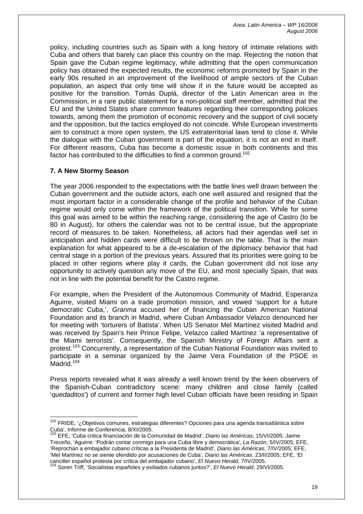policy, including countries such as Spain with a long history of intimate relations with Cuba and others that barely can place this country on the map. Rejecting the notion that Spain gave the Cuban regime legitimacy, while admitting that the open communication policy has obtained the expected results, the economic reforms promoted by Spain in the early 90s resulted in an improvement of the livelihood of ample sectors of the Cuban population, an aspect that only time will show if in the future would be accepted as positive for the transition. Tomás Duplá, director of the Latin American area in the Commission, in a rare public statement for a non-political staff member, admitted that the EU and the United States share common features regarding their corresponding policies towards, among them the promotion of economic recovery and the support of civil society and the opposition, but the tactics employed do not coincide. While European investments aim to construct a more open system, the US extraterritorial laws tend to close it. While the dialogue with the Cuban government is part of the equation, it is not an end in itself. For different reasons, Cuba has become a domestic issue in both continents and this factor has contributed to the difficulties to find a common ground.<sup>[102](#page-19-0)</sup>

# **7. A New Stormy Season**

The year 2006 responded to the expectations with the battle lines well drawn between the Cuban government and the outside actors, each one well assured and resigned that the most important factor in a considerable change of the profile and behavior of the Cuban regime would only come within the framework of the political transition. While for some this goal was aimed to be within the reaching range, considering the age of Castro (to be 80 in August), for others the calendar was not to be central issue, but the appropriate record of measures to be taken. Nonetheless, all actors had their agendas well set in anticipation and hidden cards were difficult to be thrown on the table. That is the main explanation for what appeared to be a de-escalation of the diplomacy behavior that had central stage in a portion of the previous years. Assured that its priorities were going to be placed in other regions where play it cards, the Cuban government did not lose any opportunity to actively question any move of the EU, and most specially Spain, that was not in line with the potential benefit for the Castro regime.

For example, when the President of the Autonomous Community of Madrid, Esperanza Aguirre, visited Miami on a trade promotion mission, and vowed 'support for a future democratic Cuba,', *Granma* accused her of financing the Cuban American National Foundation and its branch in Madrid, where Cuban Ambassador Velazco denounced her for meeting with 'torturers of Batista'. When US Senator Mel Martínez visited Madrid and was received by Spain's heir Prince Felipe, Velazco called Martínez 'a representative of the Miami terrorists'. Consequently, the Spanish Ministry of Foreign Affairs sent a protest.<sup>103</sup> Concurrently, a representation of the Cuban National Foundation was invited to participate in a seminar organized by the Jaime Vera Foundation of the PSOE in Madrid.<sup>[104](#page-19-2)</sup>

Press reports revealed what it was already a well known trend by the keen observers of the Spanish-Cuban contradictory scene: many children and close family (called '*quedaditos*') of current and former high level Cuban officials have been residing in Spain

<span id="page-19-1"></span>Treceño, 'Aguirre: 'Podrán contar conmigo para una Cuba libre y democrática', *La Razón*, 5/IV/2005; EFE, 'Reprochan a embajador cubano críticas a la Presidenta de Madrid', *Diario las Américas*, 7/IV/2005; EFE, 'Mel Martínez no se siente ofendido por acusaciones de Cuba', *Diario las Américas*, 23/II/2005; EFE, 'El canciller español protesta por crítica del embajador cubano', *El Nuevo Herald*, 7/IV/2005.

<span id="page-19-0"></span> $\overline{a}$ <sup>102</sup> FRIDE, '¿Objetivos comunes, estrategias diferentes? Opciones para una agenda transatlántica sobre Cuba', Informe de Conferencia, 8/XI/2005. 103 EFE, 'Cuba critica financiación de la Comunidad de Madrid', *Diario las Américas*, 15/VI/2005; Jaime

<span id="page-19-2"></span><sup>104</sup> Soren Triff, 'Socialistas españoles y exiliados cubanos juntos?', *El Nuevo Herald*, 29/VI/2005.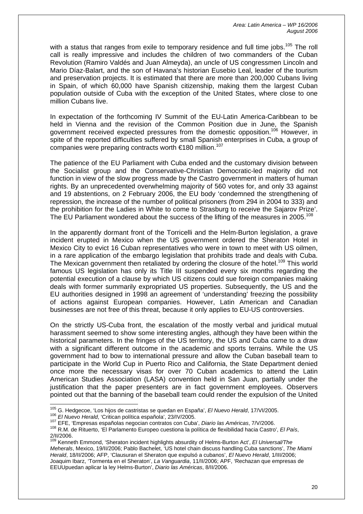with a status that ranges from exile to temporary residence and full time jobs.<sup>105</sup> The roll call is really impressive and includes the children of two commanders of the Cuban Revolution (Ramiro Valdés and Juan Almeyda), an uncle of US congressmen Lincoln and Mario Díaz-Balart, and the son of Havana's historian Eusebio Leal, leader of the tourism and preservation projects. It is estimated that there are more than 200,000 Cubans living in Spain, of which 60,000 have Spanish citizenship, making them the largest Cuban population outside of Cuba with the exception of the United States, where close to one million Cubans live.

In expectation of the forthcoming IV Summit of the EU-Latin America-Caribbean to be held in Vienna and the revision of the Common Position due in June, the Spanish government received expected pressures from the domestic opposition.<sup>106</sup> However, in spite of the reported difficulties suffered by small Spanish enterprises in Cuba, a group of companies were preparing contracts worth €180 million.<sup>[107](#page-20-2)</sup>

The patience of the EU Parliament with Cuba ended and the customary division between the Socialist group and the Conservative-Christian Democratic-led majority did not function in view of the slow progress made by the Castro government in matters of human rights. By an unprecedented overwhelming majority of 560 votes for, and only 33 against and 19 abstentions, on 2 February 2006, the EU body 'condemned the strengthening of repression, the increase of the number of political prisoners (from 294 in 2004 to 333) and the prohibition for the Ladies in White to come to Strasburg to receive the Sajarov Prize'. The EU Parliament wondered about the success of the lifting of the measures in 2005.<sup>[108](#page-20-3)</sup>

In the apparently dormant front of the Torricelli and the Helm-Burton legislation, a grave incident erupted in Mexico when the US government ordered the Sheraton Hotel in Mexico City to evict 16 Cuban representatives who were in town to meet with US oilmen, in a rare application of the embargo legislation that prohibits trade and deals with Cuba. The Mexican government then retaliated by ordering the closure of the hotel.<sup>109</sup> This world famous US legislation has only its Title III suspended every six months regarding the potential execution of a clause by which US citizens could sue foreign companies making deals with former summarily expropriated US properties. Subsequently, the US and the EU authorities designed in 1998 an agreement of 'understanding' freezing the possibility of actions against European companies. However, Latin American and Canadian businesses are not free of this threat, because it only applies to EU-US controversies.

On the strictly US-Cuba front, the escalation of the mostly verbal and juridical mutual harassment seemed to show some interesting angles, although they have been within the historical parameters. In the fringes of the US territory, the US and Cuba came to a draw with a significant different outcome in the academic and sports terrains. While the US government had to bow to international pressure and allow the Cuban baseball team to participate in the World Cup in Puerto Rico and California, the State Department denied once more the necessary visas for over 70 Cuban academics to attend the Latin American Studies Association (LASA) convention held in San Juan, partially under the justification that the paper presenters are in fact government employees. Observers pointed out that the banning of the baseball team could render the expulsion of the United

<span id="page-20-0"></span><sup>&</sup>lt;sup>105</sup> G. Hedgecoe, 'Los hijos de castristas se quedan en España', El Nuevo Herald, 17/VI/2005.

<span id="page-20-1"></span>

<span id="page-20-3"></span><span id="page-20-2"></span>

<sup>106</sup> El Nuevo Herald, 'Critican política española', 23/IV/2005.<br><sup>107</sup> EFE, 'Empresas españolas negocian contratos con Cuba', *Diario las Américas*, 7/V/2006.<br><sup>108</sup> R.M. de Rituerto, 'El Parlamento Europeo cuestiona la polít 2/II/2006.

<span id="page-20-4"></span><sup>109</sup> Kenneth Emmond, 'Sheraton incident highlights absurdity of Helms-Burton Act', *El Universal/The Meherals*, Mexico, 19/II/2006; Pablo Bachelet, 'US hotel chain discuss handling Cuba sanctions', *The Miami Herald*, 18/II/2006; AFP, 'Clausuran el Sheraton que expulsó a cubanos', *El Nuevo Herald*, 1/III/2006; Joaquim Ibarz, 'Tormenta en el Sheraton', *La Vanguardia*, 11/II/2006; APF, 'Rechazan que empresas de EEUUpuedan aplicar la ley Helms-Burton', *Diario las Américas*, 8/II/2006.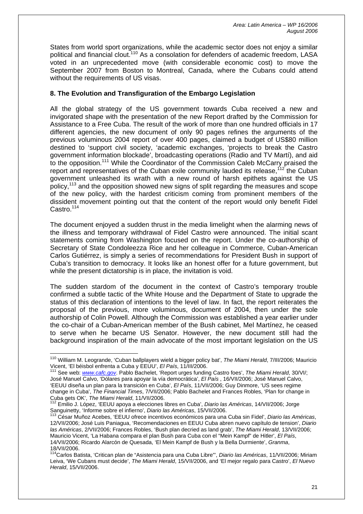States from world sport organizations, while the academic sector does not enjoy a similar political and financial clout.<sup>110</sup> As a consolation for defenders of academic freedom, LASA voted in an unprecedented move (with considerable economic cost) to move the September 2007 from Boston to Montreal, Canada, where the Cubans could attend without the requirements of US visas.

# **8. The Evolution and Transfiguration of the Embargo Legislation**

All the global strategy of the US government towards Cuba received a new and invigorated shape with the presentation of the new Report drafted by the Commission for Assistance to a Free Cuba. The result of the work of more than one hundred officials in 17 different agencies, the new document of only 90 pages refines the arguments of the previous voluminous 2004 report of over 400 pages, claimed a budget of US\$80 million destined to 'support civil society, 'academic exchanges, 'projects to break the Castro government information blockade', broadcasting operations (Radio and TV Martí), and aid to the opposition.<sup>111</sup> While the Coordinator of the Commission Caleb McCarry praised the report and representatives of the Cuban exile community lauded its release,  $12$  the Cuban government unleashed its wrath with a new round of harsh epithets against the US policy,<sup>113</sup> and the opposition showed new signs of split regarding the measures and scope of the new policy, with the hardest criticism coming from prominent members of the dissident movement pointing out that the content of the report would only benefit Fidel Castro.<sup>[114](#page-21-4)</sup>

The document enjoyed a sudden thrust in the media limelight when the alarming news of the illness and temporary withdrawal of Fidel Castro were announced. The initial scant statements coming from Washington focused on the report. Under the co-authorship of Secretary of State Condoleezza Rice and her colleague in Commerce, Cuban-American Carlos Gutiérrez, is simply a series of recommendations for President Bush in support of Cuba's transition to democracy. It looks like an honest offer for a future government, but while the present dictatorship is in place, the invitation is void.

The sudden stardom of the document in the context of Castro's temporary trouble confirmed a subtle tactic of the White House and the Department of State to upgrade the status of this declaration of intentions to the level of law. In fact, the report reiterates the proposal of the previous, more voluminous, document of 2004, then under the sole authorship of Colin Powell. Although the Commission was established a year earlier under the co-chair of a Cuban-American member of the Bush cabinet, Mel Martínez, he ceased to serve when he became US Senator. However, the new document still had the background inspiration of the main advocate of the most important legislation on the US

<span id="page-21-0"></span><sup>110</sup> William M. Leogrande, 'Cuban ballplayers wield a bigger policy bat', *The Miami Herald*, 7/III/2006; Mauricio Vicent, 'El béisbol enfrenta a Cuba y EEUU', *El País*, 11/III/2006.<br><sup>111</sup> See web: *[www.cafc.gov](http://www.cafc.gov/)*. Pablo Bachelet, 'Report urges funding Castro foes', *The Miami Herald*, 30/VI/;

<span id="page-21-1"></span>José Manuel Calvo, 'Dólares para apoyar la vía democrática', *El País* , 16/VII/2006; José Manuel Calvo, 'EEUU diseña un plan para la transición en Cuba', *El País*, 11/VII/2006; Guy Dinmore, 'US sees regime change in Cuba', *The Financial Times*, 7/VII/2006; Pablo Bachelet and Frances Robles, 'Plan for change in Cuba gets OK', *The Miami Herald*, 11/VII/2006. 112 Emilio J. López, 'EEUU apoya a elecciones libres en Cuba', *Diario las Américas*, 14/VII/2006; Jorge

<span id="page-21-2"></span>Sanguinetty, 'Informe sobre el infierno', *Diario las Américas*, 15/VII/2006. 113 César Muñoz Acebes, 'EEUU ofrece incentivos económicos para una Cuba sin Fidel', *Diario las Américas*,

<span id="page-21-3"></span><sup>12/</sup>VII/2006; José Luis Paniagua, 'Recomendaciones en EEUU Cuba abren nuevo capítulo de tension', *Diario las Américas*, 2/VII/2006; Frances Robles, 'Bush plan decried as land grab', *The Miami Herald*, 13/VII/2006; Mauricio Vicent, 'La Habana compara el plan Bush para Cuba con el "Mein Kampf" de Hitler', *El País*, 14/VII/2006; Ricardo Alarcón de Quesada, 'El Mein Kampf de Bush y la Bella Durmiente', *Granma*, 18/VII/2006.

<span id="page-21-4"></span><sup>114</sup>Carlos Batista, 'Critican plan de "Asistencia para una Cuba Libre"', *Diario las Américas*, 11/VII/2006; Miriam Leiva, 'We Cubans must decide', *The Miami Herald*, 15/VII/2006, and 'El mejor regalo para Castro', *El Nuevo Herald*, 15/VII/2006.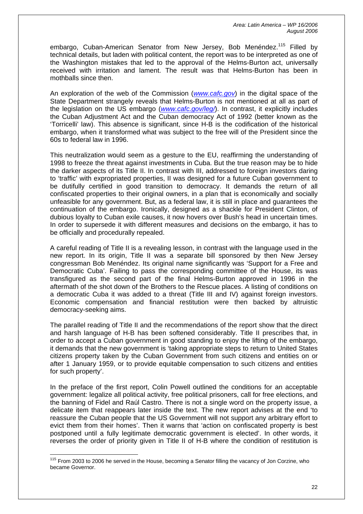embargo, Cuban-American Senator from New Jersey, Bob Menéndez.<sup>115</sup> Filled by technical details, but laden with political content, the report was to be interpreted as one of the Washington mistakes that led to the approval of the Helms-Burton act, universally received with irritation and lament. The result was that Helms-Burton has been in mothballs since then.

An exploration of the web of the Commission (*[www.cafc.gov](http://www.cafc.gov/)*) in the digital space of the State Department strangely reveals that Helms-Burton is not mentioned at all as part of the legislation on the US embargo (*[www.cafc.gov/leg/](http://www.cafc.gov/leg/)*). In contrast, it explicitly includes the Cuban Adjustment Act and the Cuban democracy Act of 1992 (better known as the 'Torricelli' law). This absence is significant, since H-B is the codification of the historical embargo, when it transformed what was subject to the free will of the President since the 60s to federal law in 1996.

This neutralization would seem as a gesture to the EU, reaffirming the understanding of 1998 to freeze the threat against investments in Cuba. But the true reason may be to hide the darker aspects of its Title II. In contrast with III, addressed to foreign investors daring to 'traffic' with expropriated properties, II was designed for a future Cuban government to be dutifully certified in good transition to democracy. It demands the return of all confiscated properties to their original owners, in a plan that is economically and socially unfeasible for any government. But, as a federal law, it is still in place and guarantees the continuation of the embargo. Ironically, designed as a shackle for President Clinton, of dubious loyalty to Cuban exile causes, it now hovers over Bush's head in uncertain times. In order to supersede it with different measures and decisions on the embargo, it has to be officially and procedurally repealed.

A careful reading of Title II is a revealing lesson, in contrast with the language used in the new report. In its origin, Title II was a separate bill sponsored by then New Jersey congressman Bob Menéndez. Its original name significantly was 'Support for a Free and Democratic Cuba'. Failing to pass the corresponding committee of the House, its was transfigured as the second part of the final Helms-Burton approved in 1996 in the aftermath of the shot down of the Brothers to the Rescue places. A listing of conditions on a democratic Cuba it was added to a threat (Title III and IV) against foreign investors. Economic compensation and financial restitution were then backed by altruistic democracy-seeking aims.

The parallel reading of Title II and the recommendations of the report show that the direct and harsh language of H-B has been softened considerably. Title II prescribes that, in order to accept a Cuban government in good standing to enjoy the lifting of the embargo, it demands that the new government is 'taking appropriate steps to return to United States citizens property taken by the Cuban Government from such citizens and entities on or after 1 January 1959, or to provide equitable compensation to such citizens and entities for such property'.

In the preface of the first report, Colin Powell outlined the conditions for an acceptable government: legalize all political activity, free political prisoners, call for free elections, and the banning of Fidel and Raúl Castro. There is not a single word on the property issue, a delicate item that reappears later inside the text. The new report advises at the end 'to reassure the Cuban people that the US Government will not support any arbitrary effort to evict them from their homes'. Then it warns that 'action on confiscated property is best postponed until a fully legitimate democratic government is elected'. In other words, it reverses the order of priority given in Title II of H-B where the condition of restitution is

<span id="page-22-0"></span><sup>&</sup>lt;sup>115</sup> From 2003 to 2006 he served in the House, becoming a Senator filling the vacancy of Jon Corzine, who became Governor.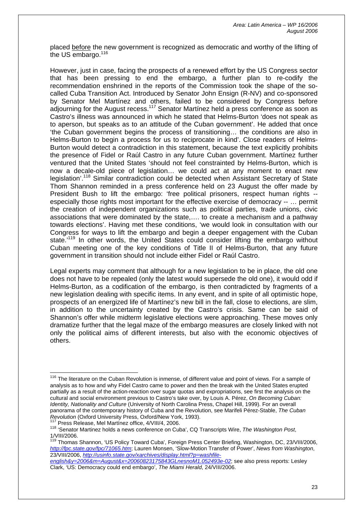placed before the new government is recognized as democratic and worthy of the lifting of the US  $\overline{\text{embargo}}$ .<sup>[116](#page-23-0)</sup>

However, just in case, facing the prospects of a renewed effort by the US Congress sector that has been pressing to end the embargo, a further plan to re-codify the recommendation enshrined in the reports of the Commission took the shape of the socalled Cuba Transition Act. Introduced by Senator John Ensign (R-NV) and co-sponsored by Senator Mel Martínez and others, failed to be considered by Congress before adjourning for the August recess.<sup>117</sup> Senator Martínez held a press conference as soon as Castro's illness was announced in which he stated that Helms-Burton 'does not speak as to aperson, but speaks as to an attitude of the Cuban government'. He added that once 'the Cuban government begins the process of transitioning… the conditions are also in Helms-Burton to begin a process for us to reciprocate in kind'. Close readers of Helms-Burton would detect a contradiction in this statement, because the text explicitly prohibits the presence of Fidel or Raúl Castro in any future Cuban government. Martínez further ventured that the United States 'should not feel constrainted by Helms-Burton, which is now a decale-old piece of legislation… we could act at any moment to enact new legislation'.[118](#page-23-2) Similar contradiction could be detected when Assistant Secretary of State Thom Shannon reminded in a press conference held on 23 August the offer made by President Bush to lift the embargo: 'free political prisoners, respect human rights -especially those rights most important for the effective exercise of democracy -- … permit the creation of independent organizations such as political parties, trade unions, civic associations that were dominated by the state,…. to create a mechanism and a pathway towards elections'. Having met these conditions, 'we would look in consultation with our Congress for ways to lift the embargo and begin a deeper engagement with the Cuban state.<sup>'119</sup> In other words, the United States could consider lifting the embargo without Cuban meeting one of the key conditions of Title II of Helms-Burton, that any future government in transition should not include either Fidel or Raúl Castro.

Legal experts may comment that although for a new legislation to be in place, the old one does not have to be repealed (only the latest would supersede the old one), it would odd if Helms-Burton, as a codification of the embargo, is then contradicted by fragments of a new legislation dealing with specific items. In any event, and in spite of all optimistic hope, prospects of an energized life of Martínez's new bill in the fall, close to elections, are slim, in addition to the uncertainty created by the Castro's crisis. Same can be said of Shannon's offer while midterm legislative elections were approaching. These moves only dramatize further that the legal maze of the embargo measures are closely linked with not only the political aims of different interests, but also with the economic objectives of others.

<span id="page-23-0"></span><sup>&</sup>lt;sup>116</sup> The literature on the Cuban Revolution is inmense, of different value and point of views. For a sample of analysis as to how and why Fidel Castro came to power and then the break with the United States erupted partially as a result of the action-reaction over sugar quotas and expropriations, see first the analysis on the cultural and social environment previous to Castro's take over, by Louis A. Pérez, *On Becoming Cuban: Identity, Nationality and Culture* (University of North Carolina Press, Chapel Hill, 1999). For an overall panorama of the contemporary history of Cuba and the Revolution, see Marifeli Pérez-Stable, *The Cuban* 

<span id="page-23-2"></span><span id="page-23-1"></span>

<sup>&</sup>lt;sup>117</sup> Press Release, Mel Martinez office, 4/VIII/4, 2006.<br><sup>118</sup> 'Senator Martinez holds a news conference on Cuba', CQ Transcripts Wire, The Washington Post,  $1$ /VIII/2006.<br> $119 -$ 

<span id="page-23-3"></span><sup>119</sup> Thomas Shannon, 'US Policy Toward Cuba', Foreign Press Center Briefing, Washington, DC, 23/VIII/2006, *<http://fpc.state.gov/fpc/71065.htm>*; Lauren Monsen, 'Slow-Motion Transfer of Power', *News from Washington*, 23/VIII/2006, *[http://usinfo.state.gov/xarchives/display.html?p=washfile-](http://usinfo.state.gov/xarchives/display.html?p=washfile-english&y=2006&m=August&x=20060823175843GLnesnoM1.052493e-02)*

*[english&y=2006&m=August&x=20060823175843GLnesnoM1.052493e-02](http://usinfo.state.gov/xarchives/display.html?p=washfile-english&y=2006&m=August&x=20060823175843GLnesnoM1.052493e-02)*; see also press reports: Lesley Clark, 'US: Democracy could end embargo', *The Miami Herald*, 24/VIII/2006.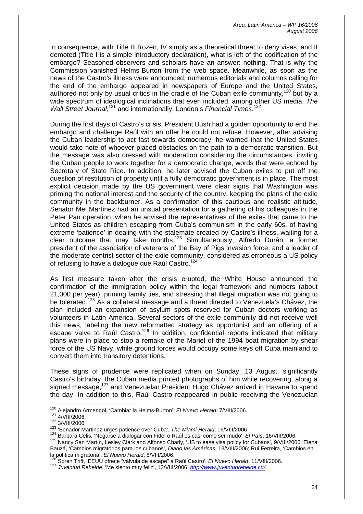In consequence, with Title III frozen, IV simply as a theoretical threat to deny visas, and II demoted (Title I is a simple introductory declaration), what is left of the codification of the embargo? Seasoned observers and scholars have an answer: nothing. That is why the Commission vanished Helms-Burton from the web space. Meanwhile, as soon as the news of the Castro's illness were announced, numerous editorials and columns calling for the end of the embargo appeared in newspapers of Europe and the United States, authored not only by usual critics in the cradle of the Cuban exile community,  $120$  but by a wide spectrum of ideological inclinations that even included, among other US media, *The*  Wall Street Journal,<sup>121</sup> and internationally, London's Financial Times.<sup>[122](#page-24-2)</sup>

During the first days of Castro's crisis, President Bush had a golden opportunity to end the embargo and challenge Raúl with an offer he could not refuse. However, after advising the Cuban leadership to act fast towards democracy, he warned that the United States would take note of whoever placed obstacles on the path to a democratic transition. But the message was also dressed with moderation considering the circumstances, inviting the Cuban people to work together for a democratic change, words that were echoed by Secretary of State Rice. In addition, he later advised the Cuban exiles to put off the question of restitution of property until a fully democratic government is in place. The most explicit decision made by the US government were clear signs that Washington was priming the national interest and the security of the country, keeping the plans of the exile community in the backburner. As a confirmation of this cautious and realistic attitude, Senator Mel Martínez had an unsual presentation for a gathering of his colleagues in the Peter Pan operation, when he advised the representatives of the exiles that came to the United States as children escaping from Cuba's communism in the early 60s, of having extreme 'patience' in dealing with the stalemate created by Castro's illness, waiting for a clear outcome that may take months.[123](#page-24-3) Simultaneously, Alfredo Durán, a former president of the association of veterans of the Bay of Pigs invasion force, and a leader of the moderate centrist sector of the exile community, considered as erroneous a US policy of refusing to have a dialogue que Raúl Castro.<sup>124</sup>

As first measure taken after the crisis erupted, the White House announced the confirmation of the immigration policy within the legal framework and numbers (about 21,000 per year), priming family ties, and stressing that illegal migration was not going to be tolerated.<sup>125</sup> As a collateral message and a threat directed to Venezuela's Chávez, the plan included an expansion of asylum spots reserved for Cuban doctors working as volunteers in Latin America. Several sectors of the exile community did not receive well this news, labeling the new reformatted strategy as opportunist and an offering of a escape valve to Raúl Castro.<sup>126</sup> In addition, confidential reports indicated that military plans were in place to stop a remake of the Mariel of the 1994 boat migration by shear force of the US Navy, while ground forces would occupy some keys off Cuba mainland to convert them into transitory detentions.

These signs of prudence were replicated when on Sunday, 13 August, significantly Castro's birthday, the Cuban media printed photographs of him while recovering, along a signed message,<sup>127</sup> and Venezuelan President Hugo Chávez arrived in Havana to spend the day. In addition to this, Raúl Castro reappeared in public receiving the Venezuelan

<span id="page-24-0"></span><sup>&</sup>lt;sup>120</sup> Aleiandro Armengol, 'Cambiar la Helms-Burton', El Nuevo Herald, 7/VIII/2006.

<span id="page-24-1"></span>

<span id="page-24-2"></span>

<span id="page-24-4"></span><span id="page-24-3"></span>

<sup>121</sup> AVIII/2006.<br>
123 Senador Martinez urges patience over Cuba', The Miami Herald, 16/VIII/2006.<br>
123 Senador Martinez urges patience over Cuba', The Miami Herald, 16/VIII/2006.<br>
124 Barbara Celis, 'Negarse a dialogar con

<span id="page-24-5"></span>Bauzá, 'Cambios migratorios para los cubanos', *Diario las Américas*, 13/VIII/2006; Rui Ferreira, 'Cambios en la política migratoria', *El Nuevo Herald*, 8/VIII/2006.<br><sup>126</sup> Seren Triff (EELILLefrece "véhude de assessa" e D

<span id="page-24-6"></span>Soren Triff, 'EEUU ofrece "válvula de escape" a Raúl Castro', *El Nuevo Herald*, 11/VIII/2006.

<span id="page-24-7"></span><sup>127</sup> *Juventud Rebelde*, 'Me siento muy feliz', 13/VIII/2006, *<http://www.juventudrebelde.cu/>*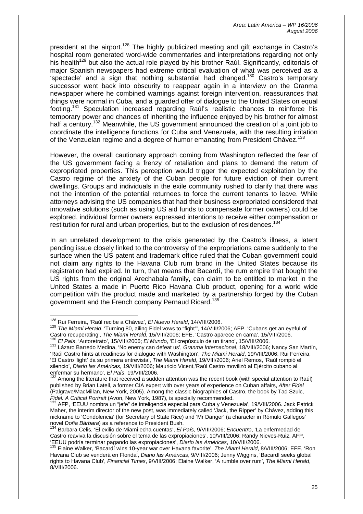president at the airport.<sup>128</sup> The highly publicized meeting and gift exchange in Castro's hospital room generated word-wide commentaries and interpretations regarding not only his health<sup>129</sup> but also the actual role played by his brother Raúl. Significantly, editorials of major Spanish newspapers had extreme critical evaluation of what was perceived as a 'spectacle' and a sign that nothing substantial had changed.[130](#page-25-2) Castro's temporary successor went back into obscurity to reappear again in a interview on the Granma newspaper where he combined warnings against foreign intervention, reassurances that things were normal in Cuba, and a guarded offer of dialogue to the United States on equal footing[.131](#page-25-3) Speculation increased regarding Raúl's realistic chances to reinforce his temporary power and chances of inheriting the influence enjoyed by his brother for almost half a century.<sup>132</sup> Meanwhile, the US government announced the creation of a joint job to coordinate the intelligence functions for Cuba and Venezuela, with the resulting irritation of the Venzuelan regime and a degree of humor emanating from President Chávez.<sup>[133](#page-25-5)</sup>

However, the overall cautionary approach coming from Washington reflected the fear of the US government facing a frenzy of retaliation and plans to demand the return of expropriated properties. This perception would trigger the expected exploitation by the Castro regime of the anxiety of the Cuban people for future eviction of their current dwellings. Groups and individuals in the exile community rushed to clarify that there was not the intention of the potential returnees to force the current tenants to leave. While attorneys advising the US companies that had their business expropriated considered that innovative solutions (such as using US aid funds to compensate former owners) could be explored, individual former owners expressed intentions to receive either compensation or restitution for rural and urban properties, but to the exclusion of residences.<sup>[134](#page-25-6)</sup>

In an unrelated development to the crisis generated by the Castro's illness, a latent pending issue closely linked to the controversy of the expropriations came suddenly to the surface when the US patent and trademark office ruled that the Cuban government could not claim any rights to the Havana Club rum brand in the United States because its registration had expired. In turn, that means that Bacardí, the rum empire that bought the US rights from the original Arechabala family, can claim to be entitled to market in the United States a made in Puerto Rico Havana Club product, opening for a world wide competition with the product made and marketed by a partnership forged by the Cuban government and the French company Pernaud Ricard.<sup>[135](#page-25-7)</sup>

<span id="page-25-0"></span><sup>&</sup>lt;sup>128</sup> Rui Ferreira. 'Raúl recibe a Chávez', El Nuevo Herald, 14/VIII/2006.

<span id="page-25-1"></span><sup>&</sup>lt;sup>129</sup> The Miami Herald, 'Turning 80, ailing Fidel vows to "fight", 14/VIII/2006; AFP, 'Cubans get an eyeful of Castro recuperating', *The Miami Herald*, 15/VIII/2006; EFE, 'Castro aparece en cama', 15/VIII/2006.<br><sup>130</sup> *FLD* 

<span id="page-25-3"></span><span id="page-25-2"></span><sup>&</sup>lt;sup>130</sup> *El País*, 'Autoretrato', 15/VIII/2006; *El Mundo*, 'El crepúsculo de un tirano', 15/VIII/2006.<br><sup>131</sup> Lázaro Barredo Medina, 'No enemy can defeat us', *Granma Internacional*, 18/VIII/2006; Nancy San Martín, 'Raúl Castro hints at readiness for dialogue with Washington', *The Miami Herald*, 19/VIII/2006; Rui Ferreira, 'El Castro 'light' da su primera entrevista', *The Miami Herald*, 19/VIII/2006; Ariel Remos, 'Raúl rompió el silencio', *Diario las Américas*, 19/VIII/2006; Mauricio Vicent,'Raúl Castro movilizó al Ejército cubano al

<span id="page-25-4"></span>Among the literature that received a sudden attention was the recent book (with special attention to Raúl) published by Brian Latell, a former CIA expert with over years of experience on Cuban affairs, *After Fidel* (Palgrave/MacMillan, New York, 2005). Among the classic biographies of Castro, the book by Tad Szulc, *Fidel: A Critical Portrait* (Avon, New York, 1987), is specially recommended. 133 AFP, 'EEUU nombra un "jefe" de inteligencia especial para Cuba y Venezuela', 19/VIII/2006. Jack Patrick

<span id="page-25-5"></span>Maher, the interim director of the new post, was immediately called 'Jack, the Ripper' by Chávez, adding this nickname to 'Condolencia' (for Secretary of State Rice) and 'Mr Danger' (a character in Rómulo Gallegos' novel *Doña Bárbara*) as a reference to President Bush. 134 Barbara Celis, 'El exilio de Miami echa cuentas', *El País*, 9/VIII/2006; *Encuentro*, 'La enfermedad de

<span id="page-25-6"></span>Castro reaviva la discusión sobre el tema de las expropiaciones', 10/VIII/2006; Randy Nieves-Ruiz, AFP, 'EEUU podría terminar pagando las expropiaciones', *Diario las Américas*, 10/VIII/2006.

<span id="page-25-7"></span><sup>135</sup> Elaine Walker, 'Bacardí wins 10-year war over Havana favorite', *The Miami Herald*, 8/VIII/2006; EFE, 'Ron Havana Club se venderá en Florida', *Diario las Américas*, 9/VIII/2006; Jenny Wiggins, 'Bacardí seeks global rights to Havana Club', *Financial Times*, 9/VIII/2006; Elaine Walker, 'A rumble over rum', *The Miami Herald*, 8/VIII/2006.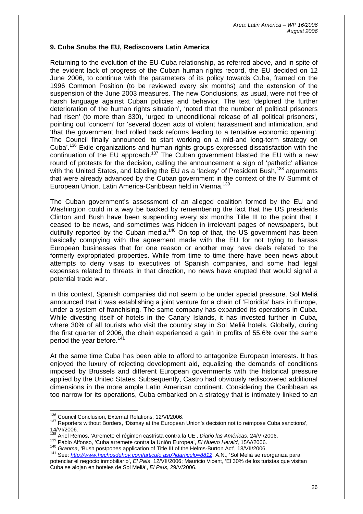### **9. Cuba Snubs the EU, Rediscovers Latin America**

Returning to the evolution of the EU-Cuba relationship, as referred above, and in spite of the evident lack of progress of the Cuban human rights record, the EU decided on 12 June 2006, to continue with the parameters of its policy towards Cuba, framed on the 1996 Common Position (to be reviewed every six months) and the extension of the suspension of the June 2003 measures. The new Conclusions, as usual, were not free of harsh language against Cuban policies and behavior. The text 'deplored the further deterioration of the human rights situation', 'noted that the number of political prisoners had risen' (to more than 330), 'urged to unconditional release of all political prisoners', pointing out 'concern' for 'several dozen acts of violent harassment and intimidation, and 'that the government had rolled back reforms leading to a tentative economic opening'. The Council finally announced 'to start working on a mid-and long-term strategy on Cuba<sup>', 136</sup> Exile organizations and human rights groups expressed dissatisfaction with the continuation of the EU approach.<sup>137</sup> The Cuban government blasted the EU with a new round of protests for the decision, calling the announcement a sign of 'pathetic' alliance with the United States, and labeling the EU as a 'lackey' of President Bush,<sup>138</sup> arguments that were already advanced by the Cuban government in the context of the IV Summit of European Union. Latin America-Caribbean held in Vienna.[139](#page-26-3)

The Cuban government's assessment of an alleged coalition formed by the EU and Washington could in a way be backed by remembering the fact that the US presidents Clinton and Bush have been suspending every six months Title III to the point that it ceased to be news, and sometimes was hidden in irrelevant pages of newspapers, but dutifully reported by the Cuban media.<sup>140</sup> On top of that, the US government has been basically complying with the agreement made with the EU for not trying to harass European businesses that for one reason or another may have deals related to the formerly expropriated properties. While from time to time there have been news about attempts to deny visas to executives of Spanish companies, and some had legal expenses related to threats in that direction, no news have erupted that would signal a potential trade war.

In this context, Spanish companies did not seem to be under special pressure. Sol Meliá announced that it was establishing a joint venture for a chain of 'Floridita' bars in Europe, under a system of franchising. The same company has expanded its operations in Cuba. While divesting itself of hotels in the Canary Islands, it has invested further in Cuba, where 30% of all tourists who visit the country stay in Sol Meliá hotels. Globally, during the first quarter of 2006, the chain experienced a gain in profits of 55.6% over the same period the year before.<sup>[141](#page-26-5)</sup>

At the same time Cuba has been able to afford to antagonize European interests. It has enjoyed the luxury of rejecting development aid, equalizing the demands of conditions imposed by Brussels and different European governments with the historical pressure applied by the United States. Subsequently, Castro had obviously rediscovered additional dimensions in the more ample Latin American continent. Considering the Caribbean as too narrow for its operations, Cuba embarked on a strategy that is intimately linked to an

<span id="page-26-3"></span>

<span id="page-26-4"></span>

<span id="page-26-0"></span><sup>&</sup>lt;sup>136</sup> Council Conclusion, External Relations, 12/VI/2006.

<span id="page-26-1"></span> $137$  Reporters without Borders, 'Dismay at the European Union's decision not to reimpose Cuba sanctions',  $14$ /VI/2006.

<span id="page-26-2"></span><sup>&</sup>lt;sup>138</sup> Ariel Remos, 'Arremete el régimen castrista contra la UE', Diario las Américas, 24/VI/2006.<br><sup>139</sup> Pablo Alfonso, 'Cuba arremete contra la Unión Europea', *El Nuevo Herald*, 15/V/2006.<br><sup>140</sup> Granma, 'Bush postpones ap

<span id="page-26-5"></span><sup>141</sup> See: *<http://www.hechosdehoy.com/articulo.asp?idarticulo=8812>*, A.N., 'Sol Meliá se reorganiza para potenciar el negocio inmobiliario', *El País*, 12/VII/2006; Mauricio Vicent, 'El 30% de los turistas que visitan Cuba se alojan en hoteles de Sol Meliá', *El País*, 29/V/2006.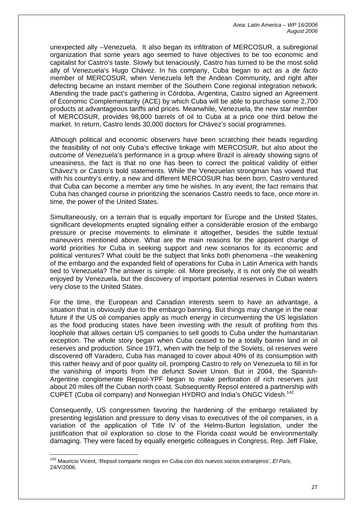unexpected ally –Venezuela. It also began its infiltration of MERCOSUR, a subregional organization that some years ago seemed to have objectives to be too economic and capitalist for Castro's taste. Slowly but tenaciously, Castro has turned to be the most solid ally of Venezuela's Hugo Chávez. In his company, Cuba began to act as a *de facto* member of MERCOSUR, when Venezuela left the Andean Community, and right after defecting became an instant member of the Southern Cone regional integration network. Attending the trade pact's gathering in Córdoba, Argentina, Castro signed an Agreement of Economic Complementarity (ACE) by which Cuba will be able to purchase some 2,700 products at advantageous tariffs and prices. Meanwhile, Venezuela, the new star member of MERCOSUR, provides 98,000 barrels of oil to Cuba at a price one third below the market. In return, Castro lends 30,000 doctors for Chávez's social programmes.

Although political and economic observers have been scratching their heads regarding the feasibility of not only Cuba's effective linkage with MERCOSUR, but also about the outcome of Venezuela's performance in a group where Brazil is already showing signs of uneasiness, the fact is that no one has been to correct the political validity of either Chávez's or Castro's bold statements. While the Venezuelan strongman has vowed that with his country's entry, a new and different MERCOSUR has been born, Castro ventured that Cuba can become a member any time he wishes. In any event, the fact remains that Cuba has changed course in prioritizing the scenarios Castro needs to face, once more in time, the power of the United States.

Simultaneously, on a terrain that is equally important for Europe and the United States, significant developments erupted signaling either a considerable erosion of the embargo pressure or precise movements to eliminate it altogether, besides the subtle textual maneuvers mentioned above. What are the main reasons for the apparent change of world priorities for Cuba in seeking support and new scenarios for its economic and political ventures? What could be the subject that links both phenomena –the weakening of the embargo and the expanded field of operations for Cuba in Latin America with hands tied to Venezuela? The answer is simple: oil. More precisely, it is not only the oil wealth enjoyed by Venezuela, but the discovery of important potential reserves in Cuban waters very close to the United States.

For the time, the European and Canadian interests seem to have an advantage, a situation that is obviously due to the embargo banning. But things may change in the near future if the US oil companies apply as much energy in circumventing the US legislation as the food producing states have been investing with the result of profiting from this loophole that allows certain US companies to sell goods to Cuba under the humanitarian exception. The whole story began when Cuba ceased to be a totally barren land in oil reserves and production. Since 1971, when with the help of the Soviets, oil reserves were discovered off Varadero, Cuba has managed to cover about 40% of its consumption with this rather heavy and of poor quality oil, prompting Castro to rely on Venezuela to fill in for the vanishing of imports from the defunct Soviet Union. But in 2004, the Spanish-Argentine conglomerate Repsol-YPF began to make perforation of rich reserves just about 20 miles off the Cuban north coast. Subsequently Repsol entered a partnership with CUPET (Cuba oil company) and Norwegian HYDRO and India's ONGC Videsh.[142](#page-27-0)

Consequently, US congressmen favoring the hardening of the embargo retaliated by presenting legislation and pressure to deny visas to executives of the oil companies, in a variation of the application of Title IV of the Helms-Burton legislation, under the justification that oil exploration so close to the Florida coast would be environmentally damaging. They were faced by equally energetic colleagues in Congress, Rep. Jeff Flake,

<span id="page-27-0"></span><sup>142</sup> Mauricio Vicent, 'Repsol comparte riesgos en Cuba con dos nuevos socios extranjeros', *El País*, 24/V/2006.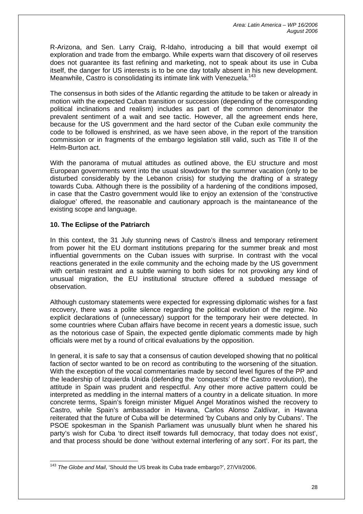R-Arizona, and Sen. Larry Craig, R-Idaho, introducing a bill that would exempt oil exploration and trade from the embargo. While experts warn that discovery of oil reserves does not guarantee its fast refining and marketing, not to speak about its use in Cuba itself, the danger for US interests is to be one day totally absent in his new development. Meanwhile, Castro is consolidating its intimate link with Venezuela.<sup>[143](#page-28-0)</sup>

The consensus in both sides of the Atlantic regarding the attitude to be taken or already in motion with the expected Cuban transition or succession (depending of the corresponding political inclinations and realism) includes as part of the common denominator the prevalent sentiment of a wait and see tactic. However, all the agreement ends here, because for the US government and the hard sector of the Cuban exile community the code to be followed is enshrined, as we have seen above, in the report of the transition commission or in fragments of the embargo legislation still valid, such as Title II of the Helm-Burton act.

With the panorama of mutual attitudes as outlined above, the EU structure and most European governments went into the usual slowdown for the summer vacation (only to be disturbed considerably by the Lebanon crisis) for studying the drafting of a strategy towards Cuba. Although there is the possibility of a hardening of the conditions imposed, in case that the Castro government would like to enjoy an extension of the 'constructive dialogue' offered, the reasonable and cautionary approach is the maintaneance of the existing scope and language.

# **10. The Eclipse of the Patriarch**

In this context, the 31 July stunning news of Castro's illness and temporary retirement from power hit the EU dormant institutions preparing for the summer break and most influential governments on the Cuban issues with surprise. In contrast with the vocal reactions generated in the exile community and the echoing made by the US government with certain restraint and a subtle warning to both sides for not provoking any kind of unusual migration, the EU institutional structure offered a subdued message of observation.

Although customary statements were expected for expressing diplomatic wishes for a fast recovery, there was a polite silence regarding the political evolution of the regime. No explicit declarations of (unnecessary) support for the temporary heir were detected. In some countries where Cuban affairs have become in recent years a domestic issue, such as the notorious case of Spain, the expected gentle diplomatic comments made by high officials were met by a round of critical evaluations by the opposition.

In general, it is safe to say that a consensus of caution developed showing that no political faction of sector wanted to be on record as contributing to the worsening of the situation. With the exception of the vocal commentaries made by second level figures of the PP and the leadership of Izquierda Unida (defending the 'conquests' of the Castro revolution), the attitude in Spain was prudent and respectful. Any other more active pattern could be interpreted as meddling in the internal matters of a country in a delicate situation. In more concrete terms, Spain's foreign minister Miguel Angel Moratinos wished the recovery to Castro, while Spain's ambassador in Havana, Carlos Alonso Zaldívar, in Havana reiterated that the future of Cuba will be determined 'by Cubans and only by Cubans'. The PSOE spokesman in the Spanish Parliament was unusually blunt when he shared his party's wish for Cuba 'to direct itself towards full democracy, that today does not exist', and that process should be done 'without external interfering of any sort'. For its part, the

<span id="page-28-0"></span> $\overline{a}$ <sup>143</sup> *The Globe and Mail*, 'Should the US break its Cuba trade embargo?', 27/VII/2006.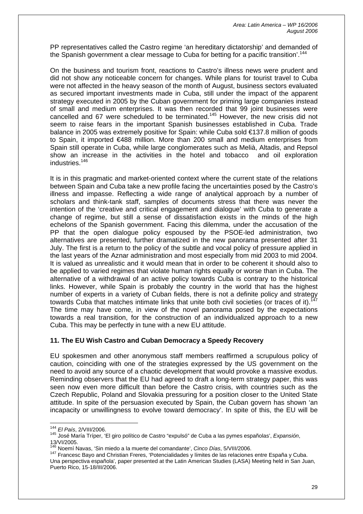PP representatives called the Castro regime 'an hereditary dictatorship' and demanded of the Spanish government a clear message to Cuba for betting for a pacific transition'.<sup>[144](#page-29-0)</sup>

On the business and tourism front, reactions to Castro's illness news were prudent and did not show any noticeable concern for changes. While plans for tourist travel to Cuba were not affected in the heavy season of the month of August, business sectors evaluated as secured important investments made in Cuba, still under the impact of the apparent strategy executed in 2005 by the Cuban government for priming large companies instead of small and medium enterprises. It was then recorded that 99 joint businesses were cancelled and 67 were scheduled to be terminated.<sup>145</sup> However, the new crisis did not seem to raise fears in the important Spanish businesses established in Cuba. Trade balance in 2005 was extremely positive for Spain: while Cuba sold €137.8 million of goods to Spain, it imported €488 million. More than 200 small and medium enterprises from Spain still operate in Cuba, while large conglomerates such as Melià, Altadis, and Repsol show an increase in the activities in the hotel and tobacco and oil exploration industries[.146](#page-29-2)

It is in this pragmatic and market-oriented context where the current state of the relations between Spain and Cuba take a new profile facing the uncertainties posed by the Castro's illness and impasse. Reflecting a wide range of analytical approach by a number of scholars and think-tank staff, samples of documents stress that there was never the intention of the 'creative and critical engagement and dialogue' with Cuba to generate a change of regime, but still a sense of dissatisfaction exists in the minds of the high echelons of the Spanish government. Facing this dilemma, under the accusation of the PP that the open dialogue policy espoused by the PSOE-led administration, two alternatives are presented, further dramatized in the new panorama presented after 31 July. The first is a return to the policy of the subtle and vocal policy of pressure applied in the last years of the Aznar administration and most especially from mid 2003 to mid 2004. It is valued as unrealistic and it would mean that in order to be coherent it should also to be applied to varied regimes that violate human rights equally or worse than in Cuba. The alternative of a withdrawal of an active policy towards Cuba is contrary to the historical links. However, while Spain is probably the country in the world that has the highest number of experts in a variety of Cuban fields, there is not a definite policy and strategy towards Cuba that matches intimate links that unite both civil societies (or traces of it). The time may have come, in view of the novel panorama posed by the expectations towards a real transition, for the construction of an individualized approach to a new Cuba. This may be perfectly in tune with a new EU attitude.

### **11. The EU Wish Castro and Cuban Democracy a Speedy Recovery**

EU spokesmen and other anonymous staff members reaffirmed a scrupulous policy of caution, coinciding with one of the strategies expressed by the US government on the need to avoid any source of a chaotic development that would provoke a massive exodus. Reminding observers that the EU had agreed to draft a long-term strategy paper, this was seen now even more difficult than before the Castro crisis, with countries such as the Czech Republic, Poland and Slovakia pressuring for a position closer to the United State attitude. In spite of the persuasion executed by Spain, the Cuban govern has shown 'an incapacity or unwillingness to evolve toward democracy'. In spite of this, the EU will be

<span id="page-29-0"></span><sup>&</sup>lt;sup>144</sup> El País, 2/VIII/2006.

<span id="page-29-1"></span><sup>144</sup> *El País*, 2/VIII/2006. 145 José María Tríper, 'El giro político de Castro "expulsó" de Cuba a las pymes españolas', *Expansión*, 13/VI/2005.<br><sup>146</sup> Noemí Navas, 'Sin miedo a la muerte del comandante', *Cinco Días*, 5/VIII/2006.

<span id="page-29-2"></span>

<span id="page-29-3"></span><sup>&</sup>lt;sup>147</sup> Francesc Bayo and Christian Freres, 'Potencialidades y límites de las relaciones entre España y Cuba. Una perspectiva española', paper presented at the Latin American Studies (LASA) Meeting held in San Juan, Puerto Rico, 15-18/III/2006.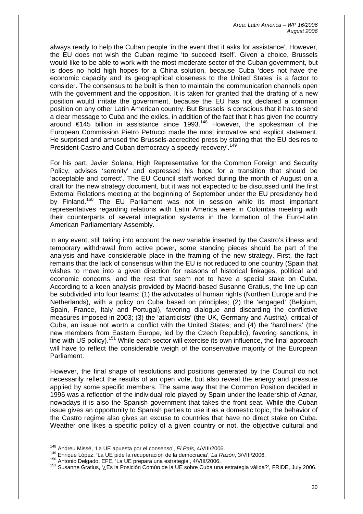always ready to help the Cuban people 'in the event that it asks for assistance'. However, the EU does not wish the Cuban regime 'to succeed itself'. Given a choice, Brussels would like to be able to work with the most moderate sector of the Cuban government, but is does no hold high hopes for a China solution, because Cuba 'does not have the economic capacity and its geographical closeness to the United States' is a factor to consider. The consensus to be built is then to maintain the communication channels open with the government and the opposition. It is taken for granted that the drafting of a new position would irritate the government, because the EU has not declared a common position on any other Latin American country. But Brussels is conscious that it has to send a clear message to Cuba and the exiles, in addition of the fact that it has given the country around  $\epsilon$ 145 billion in assistance since 1993.<sup>148</sup> However, the spokesman of the European Commission Pietro Petrucci made the most innovative and explicit statement. He surprised and amused the Brussels-accredited press by stating that 'the EU desires to President Castro and Cuban democracy a speedy recovery'.<sup>[149](#page-30-1)</sup>

For his part, Javier Solana, High Representative for the Common Foreign and Security Policy, advises 'serenity' and expressed his hope for a transition that should be 'acceptable and correct'. The EU Council staff worked during the month of August on a draft for the new strategy document, but it was not expected to be discussed until the first External Relations meeting at the beginning of September under the EU presidency held by Finland.<sup>150</sup> The EU Parliament was not in session while its most important representatives regarding relations with Latin America were in Colombia meeting with their counterparts of several integration systems in the formation of the Euro-Latin American Parliamentary Assembly.

In any event, still taking into account the new variable inserted by the Castro's illness and temporary withdrawal from active power, some standing pieces should be part of the analysis and have considerable place in the framing of the new strategy. First, the fact remains that the lack of consensus within the EU is not reduced to one country (Spain that wishes to move into a given direction for reasons of historical linkages, political and economic concerns, and the rest that seem not to have a special stake on Cuba. According to a keen analysis provided by Madrid-based Susanne Gratius, the line up can be subdivided into four teams: (1) the advocates of human rights (Northen Europe and the Netherlands), with a policy on Cuba based on principles; (2) the 'engaged' (Belgium, Spain, France, Italy and Portugal), favoring dialogue and discarding the conflictive measures imposed in 2003; (3) the 'atlanticists' (the UK, Germany and Austria), critical of Cuba, an issue not worth a conflict with the United States; and (4) the 'hardliners' (the new members from Eastern Europe, led by the Czech Republic), favoring sanctions, in line with US policy).<sup>151</sup> While each sector will exercise its own influence, the final approach will have to reflect the considerable weigh of the conservative majority of the European Parliament.

However, the final shape of resolutions and positions generated by the Council do not necessarily reflect the results of an open vote, but also reveal the energy and pressure applied by some specific members. The same way that the Common Position decided in 1996 was a reflection of the individual role played by Spain under the leadership of Aznar, nowadays it is also the Spanish government that takes the front seat. While the Cuban issue gives an opportunity to Spanish parties to use it as a domestic topic, the behavior of the Castro regime also gives an excuse to countries that have no direct stake on Cuba. Weather one likes a specific policy of a given country or not, the objective cultural and

<span id="page-30-0"></span><sup>&</sup>lt;sup>148</sup> Andreu Missé, 'La UE apuesta por el consenso', El País, 4/VIII/2006.

<span id="page-30-1"></span><sup>149</sup> Enrique López, 'La UE pide la recuperación de la democracia', La Razón, 3/VIII/2006.<br><sup>150</sup> Antonio Delgado, EFE, 'La UE prepara una estrategia', 4/VIII/2006.

<span id="page-30-2"></span>

<span id="page-30-3"></span><sup>151</sup> Susanne Gratius, '¿Es la Posición Común de la UE sobre Cuba una estrategia válida?', FRIDE, July 2006.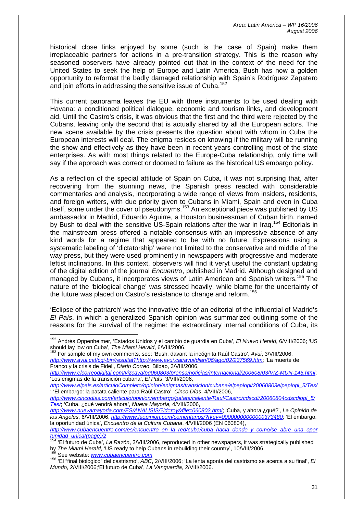historical close links enjoyed by some (such is the case of Spain) make them irreplaceable partners for actions in a pre-transition strategy. This is the reason why seasoned observers have already pointed out that in the context of the need for the United States to seek the help of Europe and Latin America, Bush has now a golden opportunity to reformat the badly damaged relationship with Spain's Rodríguez Zapatero and join efforts in addressing the sensitive issue of Cuba.<sup>[152](#page-31-0)</sup>

This current panorama leaves the EU with three instruments to be used dealing with Havana: a conditioned political dialogue, economic and tourism links, and development aid. Until the Castro's crisis, it was obvious that the first and the third were rejected by the Cubans, leaving only the second that is actually shared by all the European actors. The new scene available by the crisis presents the question about with whom in Cuba the European interests will deal. The enigma resides on knowing if the military will be running the show and effectively as they have been in recent years controlling most of the state enterprises. As with most things related to the Europe-Cuba relationship, only time will say if the approach was correct or doomed to failure as the historical US embargo policy.

As a reflection of the special attitude of Spain on Cuba, it was not surprising that, after recovering from the stunning news, the Spanish press reacted with considerable commentaries and analysis, incorporating a wide range of views from insiders, residents, and foreign writers, with due priority given to Cubans in Miami, Spain and even in Cuba itself, some under the cover of pseudonyms.<sup>153</sup> An exceptional piece was published by US ambassador in Madrid, Eduardo Aguirre, a Houston businessman of Cuban birth, named by Bush to deal with the sensitive US-Spain relations after the war in Iraq.<sup>154</sup> Editorials in the mainstream press offered a notable consensus with an impressive absence of any kind words for a regime that appeared to be with no future. Expressions using a systematic labeling of 'dictatorship' were not limited to the conservative and middle of the way press, but they were used prominently in newspapers with progressive and moderate leftist inclinations. In this context, observers will find it veryt useful the constant updating of the digital edition of the journal *Encuentro*, published in Madrid. Although designed and managed by Cubans, it incorporates views of Latin American and Spanish writers.<sup>155</sup> The nature of the 'biological change' was stressed heavily, while blame for the uncertainty of the future was placed on Castro's resistance to change and reform.<sup>[156](#page-31-4)</sup>

'Eclipse of the patriarch' was the innovative title of an editorial of the influential of Madrid's *El País*, in which a generalized Spanish opinion was summarized outlining some of the reasons for the survival of the regime: the extraordinary internal conditions of Cuba, its

<span id="page-31-1"></span>*<http://www.avui.cat/cgi-bin/resultat?http://www.avui.cat/avui/diari/06/ago/02/237569.htm>*; 'La muerte de Franco y la crisis de Fidel', *Diario Correo*, Bilbao, 3/VIII/2006,

*<http://www.elcorreodigital.com/vizcaya/pg060803/prensa/noticias/Internacional/200608/03/VIZ-MUN-145.html>*; 'Los enigmas de la transición cubana', *El País*, 3/VIII/2006,

<span id="page-31-3"></span>

<span id="page-31-0"></span><sup>152</sup> Andrés Oppenheimer, 'Estados Unidos y el cambio de guardia en Cuba', *El Nuevo Herald*, 6/VIII/2006; 'US should lay low on Cuba', *The Miami Herald*, 6/VIII/2006.<br><sup>153</sup> For sample of my own comments, see: 'Bush, davant la incógnita Raúl Castro', *Avui*, 3/VIII/2006,

*[http://www.elpais.es/articuloCompleto/opinion/enigmas/transicion/cubana/elpepiopi/20060803elpepiopi\\_5/Tes/](http://www.elpais.es/articuloCompleto/opinion/enigmas/transicion/cubana/elpepiopi/20060803elpepiopi_5/Tes/)* ; 'El embargo: la patata caliente para Raúl Castro', *Cinco Días*, 4/VIII/2006,

*[http://www.cincodias.com/articulo/opinion/embargo/patata/caliente/Raul/Castro/cdscdi/20060804cdscdiopi\\_5/](http://www.cincodias.com/articulo/opinion/embargo/patata/caliente/Raul/Castro/cdscdi/20060804cdscdiopi_5/Tes/) [Tes/](http://www.cincodias.com/articulo/opinion/embargo/patata/caliente/Raul/Castro/cdscdi/20060804cdscdiopi_5/Tes/)*; 'Cuba, ¿qué vendrá ahora', *Nueva Mayoría*, 4/VIII/2006,

*<http://www.nuevamayoria.com/ES/ANALISIS/?id=roy&file=060802.html>*; 'Cuba, y ahora ¿qué?', *La Opinión de los Angeles*, 6/VIII/2006, *<http://www.laopinion.com/comentarios/?rkey=00000000000000373480>*; 'El embargo, la oportunidad única', *Encuentro de la Cultura Cubana*, 4/VIII/2006 (EN 060804),

*[http://www.cubaencuentro.com/es/encuentro\\_en\\_la\\_red/cuba/cuba\\_hacia\\_donde\\_y\\_como/se\\_abre\\_una\\_opor](http://www.cubaencuentro.com/es/encuentro_en_la_red/cuba/cuba_hacia_donde_y_como/se_abre_una_oportunidad_unica/(page)/2)*

<span id="page-31-2"></span><sup>&#</sup>x27;El futuro de Cuba', *La Razón*, 3/VIII/2006, reproduced in other newspapers, it was strategically published by *The Miami Herald*[, 'US ready to help Cu](http://www.cubaencuentro.com/)bans in rebuilding their country', 10/VIII/2006. 155 See website: *www.cubaencuentro.com*

<span id="page-31-4"></span><sup>156 &#</sup>x27;El "final biológico" del castrismo', *ABC*, 2/VIII/2006; 'La lenta agonía del castrismo se acerca a su final', *El Mundo*, 2/VIII/2006;'El futuro de Cuba', *La Vanguardia*, 2/VIII/2006.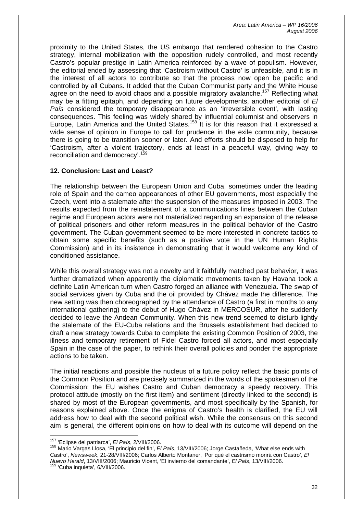proximity to the United States, the US embargo that rendered cohesion to the Castro strategy, internal mobilization with the opposition rudely controlled, and most recently Castro's popular prestige in Latin America reinforced by a wave of populism. However, the editorial ended by assessing that 'Castroism without Castro' is unfeasible, and it is in the interest of all actors to contribute so that the process now open be pacific and controlled by all Cubans. It added that the Cuban Communist party and the White House agree on the need to avoid chaos and a possible migratory avalanche.<sup>157</sup> Reflecting what may be a fitting epitaph, and depending on future developments, another editorial of *El País* considered the temporary disappearance as an 'irreversible event', with lasting consequences. This feeling was widely shared by influential columnist and observers in Europe, Latin America and the United States.<sup>158</sup> It is for this reason that it expressed a wide sense of opinion in Europe to call for prudence in the exile community, because there is going to be transition sooner or later. And efforts should be disposed to help for 'Castroism, after a violent trajectory, ends at least in a peaceful way, giving way to reconciliation and democracy'.<sup>[159](#page-32-2)</sup>

## **12. Conclusion: Last and Least?**

The relationship between the European Union and Cuba, sometimes under the leading role of Spain and the cameo appearances of other EU governments, most especially the Czech, went into a stalemate after the suspension of the measures imposed in 2003. The results expected from the reinstatement of a communications lines between the Cuban regime and European actors were not materialized regarding an expansion of the release of political prisoners and other reform measures in the political behavior of the Castro government. The Cuban government seemed to be more interested in concrete tactics to obtain some specific benefits (such as a positive vote in the UN Human Rights Commission) and in its insistence in demonstrating that it would welcome any kind of conditioned assistance.

While this overall strategy was not a novelty and it faithfully matched past behavior, it was further dramatized when apparently the diplomatic movements taken by Havana took a definite Latin American turn when Castro forged an alliance with Venezuela. The swap of social services given by Cuba and the oil provided by Chávez made the difference. The new setting was then choreographed by the attendance of Castro (a first in months to any international gathering) to the debut of Hugo Chávez in MERCOSUR, after he suddenly decided to leave the Andean Community. When this new trend seemed to disturb lightly the stalemate of the EU-Cuba relations and the Brussels establishment had decided to draft a new strategy towards Cuba to complete the existing Common Position of 2003, the illness and temporary retirement of Fidel Castro forced all actors, and most especially Spain in the case of the paper, to rethink their overall policies and ponder the appropriate actions to be taken.

The initial reactions and possible the nucleus of a future policy reflect the basic points of the Common Position and are precisely summarized in the words of the spokesman of the Commission: the EU wishes Castro and Cuban democracy a speedy recovery. This protocol attitude (mostly on the first item) and sentiment (directly linked to the second) is shared by most of the European governments, and most specifically by the Spanish, for reasons explained above. Once the enigma of Castro's health is clarified, the EU will address how to deal with the second political wish. While the consensus on this second aim is general, the different opinions on how to deal with its outcome will depend on the

<span id="page-32-0"></span><sup>&</sup>lt;sup>157</sup> 'Eclipse del patriarca', El País, 2/VIII/2006.

<span id="page-32-2"></span><span id="page-32-1"></span><sup>157 &#</sup>x27;Eclipse del patriarca', *El País*, 2/VIII/2006. 158 Mario Vargas Llosa, 'El principio del fin', *El País*, 13/VIII/2006; Jorge Castañeda, 'What else ends with Castro', *Newsweek*, 21-28/VIII/2006; Carlos Alberto Montaner, 'Por qué el castrismo morirá con Castro', *El Nuevo Herald*, 13/VIII/2006; Mauricio Vicent, 'El invierno del comandante', *El País*, 13/VIII/2006. <sup>159</sup> 'Cuba inquieta', 6/VIII/2006.